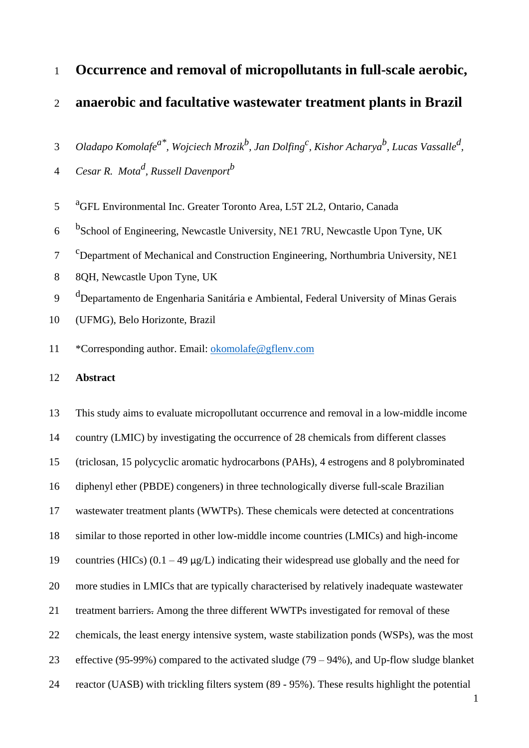# **Occurrence and removal of micropollutants in full-scale aerobic,**

### **anaerobic and facultative wastewater treatment plants in Brazil**

*Oladapo Komolafea\* , Wojciech Mrozik<sup>b</sup> , Jan Dolfing<sup>c</sup> , Kishor Acharya<sup>b</sup> , Lucas Vassalle<sup>d</sup> ,* 

- *Cesar R. Mota<sup>d</sup> , Russell Davenport b*
- <sup>a</sup>GFL Environmental Inc. Greater Toronto Area, L5T 2L2, Ontario, Canada
- 6 bSchool of Engineering, Newcastle University, NE1 7RU, Newcastle Upon Tyne, UK
- <sup>c</sup> Department of Mechanical and Construction Engineering, Northumbria University, NE1
- 8QH, Newcastle Upon Tyne, UK
- 9 d<sup>1</sup> Departamento de Engenharia Sanitária e Ambiental, Federal University of Minas Gerais
- (UFMG), Belo Horizonte, Brazil
- \*Corresponding author. Email: [okomolafe@gflenv.com](mailto:okomolafe@gflenv.com)

### **Abstract**

 This study aims to evaluate micropollutant occurrence and removal in a low-middle income country (LMIC) by investigating the occurrence of 28 chemicals from different classes (triclosan, 15 polycyclic aromatic hydrocarbons (PAHs), 4 estrogens and 8 polybrominated diphenyl ether (PBDE) congeners) in three technologically diverse full-scale Brazilian wastewater treatment plants (WWTPs). These chemicals were detected at concentrations similar to those reported in other low-middle income countries (LMICs) and high-income 19 countries (HICs)  $(0.1 - 49 \mu g/L)$  indicating their widespread use globally and the need for more studies in LMICs that are typically characterised by relatively inadequate wastewater treatment barriers. Among the three different WWTPs investigated for removal of these chemicals, the least energy intensive system, waste stabilization ponds (WSPs), was the most effective (95-99%) compared to the activated sludge (79 – 94%), and Up-flow sludge blanket reactor (UASB) with trickling filters system (89 - 95%). These results highlight the potential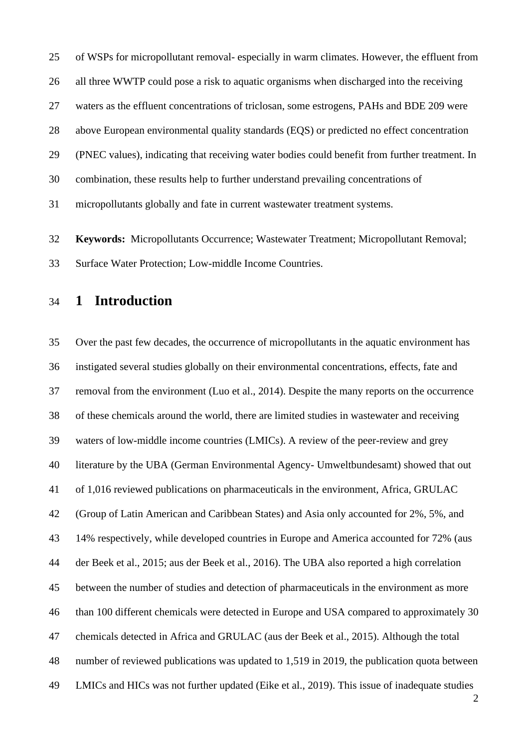of WSPs for micropollutant removal- especially in warm climates. However, the effluent from all three WWTP could pose a risk to aquatic organisms when discharged into the receiving waters as the effluent concentrations of triclosan, some estrogens, PAHs and BDE 209 were above European environmental quality standards (EQS) or predicted no effect concentration (PNEC values), indicating that receiving water bodies could benefit from further treatment. In combination, these results help to further understand prevailing concentrations of micropollutants globally and fate in current wastewater treatment systems.

 **Keywords:** Micropollutants Occurrence; Wastewater Treatment; Micropollutant Removal; Surface Water Protection; Low-middle Income Countries.

# **1 Introduction**

 Over the past few decades, the occurrence of micropollutants in the aquatic environment has instigated several studies globally on their environmental concentrations, effects, fate and removal from the environment [\(Luo et al., 2014\)](#page-30-0). Despite the many reports on the occurrence of these chemicals around the world, there are limited studies in wastewater and receiving waters of low-middle income countries (LMICs). A review of the peer-review and grey literature by the UBA (German Environmental Agency- Umweltbundesamt) showed that out of 1,016 reviewed publications on pharmaceuticals in the environment, Africa, GRULAC (Group of Latin American and Caribbean States) and Asia only accounted for 2%, 5%, and 14% respectively, while developed countries in Europe and America accounted for 72% [\(aus](#page-27-0)  [der Beek et al., 2015;](#page-27-0) [aus der Beek et al., 2016\)](#page-27-1). The UBA also reported a high correlation between the number of studies and detection of pharmaceuticals in the environment as more than 100 different chemicals were detected in Europe and USA compared to approximately 30 chemicals detected in Africa and GRULAC [\(aus der Beek et al., 2015\)](#page-27-0). Although the total number of reviewed publications was updated to 1,519 in 2019, the publication quota between LMICs and HICs was not further updated [\(Eike et al., 2019\)](#page-29-0). This issue of inadequate studies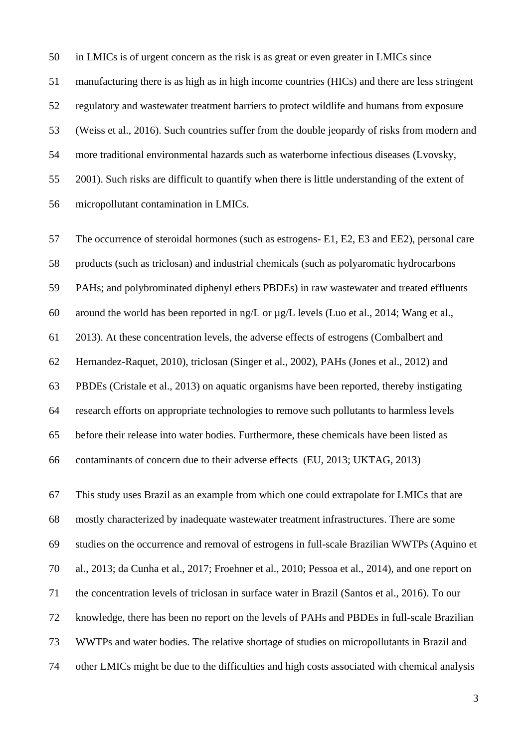in LMICs is of urgent concern as the risk is as great or even greater in LMICs since

manufacturing there is as high as in high income countries (HICs) and there are less stringent

regulatory and wastewater treatment barriers to protect wildlife and humans from exposure

[\(Weiss et al., 2016\)](#page-32-0). Such countries suffer from the double jeopardy of risks from modern and

more traditional environmental hazards such as waterborne infectious diseases [\(Lvovsky,](#page-30-1) 

[2001\)](#page-30-1). Such risks are difficult to quantify when there is little understanding of the extent of

micropollutant contamination in LMICs.

 The occurrence of steroidal hormones (such as estrogens- E1, E2, E3 and EE2), personal care products (such as triclosan) and industrial chemicals (such as polyaromatic hydrocarbons PAHs; and polybrominated diphenyl ethers PBDEs) in raw wastewater and treated effluents around the world has been reported in ng/L or µg/L levels [\(Luo et al., 2014;](#page-30-0) [Wang et al.,](#page-32-1)  [2013\)](#page-32-1). At these concentration levels, the adverse effects of estrogens [\(Combalbert and](#page-28-0)  [Hernandez-Raquet, 2010\)](#page-28-0), triclosan [\(Singer et al., 2002\)](#page-32-2), PAHs [\(Jones et al., 2012\)](#page-29-1) and PBDEs [\(Cristale et al., 2013\)](#page-28-1) on aquatic organisms have been reported, thereby instigating research efforts on appropriate technologies to remove such pollutants to harmless levels before their release into water bodies. Furthermore, these chemicals have been listed as contaminants of concern due to their adverse effects [\(EU, 2013;](#page-29-2) [UKTAG, 2013\)](#page-32-3)

 This study uses Brazil as an example from which one could extrapolate for LMICs that are mostly characterized by inadequate wastewater treatment infrastructures. There are some studies on the occurrence and removal of estrogens in full-scale Brazilian WWTPs [\(Aquino et](#page-27-2)  [al., 2013;](#page-27-2) [da Cunha et al., 2017;](#page-28-2) [Froehner et al., 2010;](#page-29-3) [Pessoa et al., 2014\)](#page-31-0), and one report on the concentration levels of triclosan in surface water in Brazil [\(Santos et al., 2016\)](#page-31-1). To our knowledge, there has been no report on the levels of PAHs and PBDEs in full-scale Brazilian WWTPs and water bodies. The relative shortage of studies on micropollutants in Brazil and other LMICs might be due to the difficulties and high costs associated with chemical analysis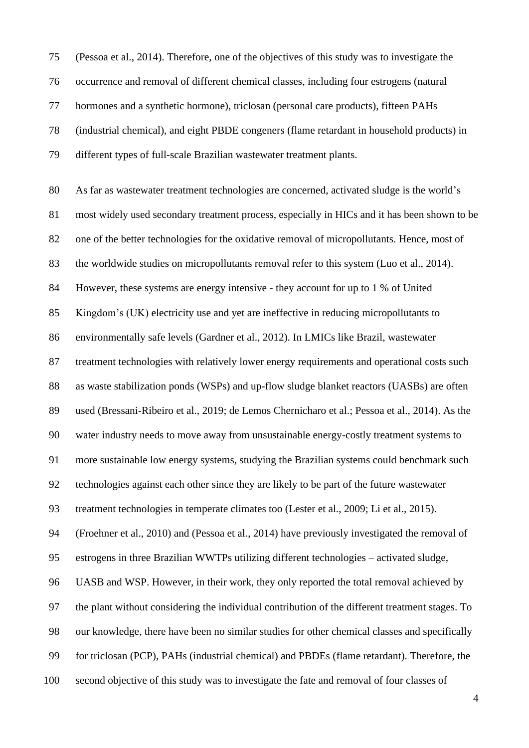[\(Pessoa et al., 2014\)](#page-31-0). Therefore, one of the objectives of this study was to investigate the occurrence and removal of different chemical classes, including four estrogens (natural hormones and a synthetic hormone), triclosan (personal care products), fifteen PAHs (industrial chemical), and eight PBDE congeners (flame retardant in household products) in different types of full-scale Brazilian wastewater treatment plants.

 As far as wastewater treatment technologies are concerned, activated sludge is the world's most widely used secondary treatment process, especially in HICs and it has been shown to be one of the better technologies for the oxidative removal of micropollutants. Hence, most of the worldwide studies on micropollutants removal refer to this system [\(Luo et al., 2014\)](#page-30-0). However, these systems are energy intensive - they account for up to 1 % of United Kingdom's (UK) electricity use and yet are ineffective in reducing micropollutants to environmentally safe levels [\(Gardner et al., 2012\)](#page-29-4). In LMICs like Brazil, wastewater treatment technologies with relatively lower energy requirements and operational costs such as waste stabilization ponds (WSPs) and up-flow sludge blanket reactors (UASBs) are often used [\(Bressani-Ribeiro et al., 2019;](#page-27-3) [de Lemos Chernicharo et al.;](#page-28-3) [Pessoa et al., 2014\)](#page-31-0). As the water industry needs to move away from unsustainable energy-costly treatment systems to more sustainable low energy systems, studying the Brazilian systems could benchmark such technologies against each other since they are likely to be part of the future wastewater treatment technologies in temperate climates too [\(Lester et al., 2009;](#page-30-2) [Li et al., 2015\)](#page-30-3). [\(Froehner et al., 2010\)](#page-29-3) and [\(Pessoa et al., 2014\)](#page-31-0) have previously investigated the removal of estrogens in three Brazilian WWTPs utilizing different technologies – activated sludge, UASB and WSP. However, in their work, they only reported the total removal achieved by the plant without considering the individual contribution of the different treatment stages. To our knowledge, there have been no similar studies for other chemical classes and specifically for triclosan (PCP), PAHs (industrial chemical) and PBDEs (flame retardant). Therefore, the second objective of this study was to investigate the fate and removal of four classes of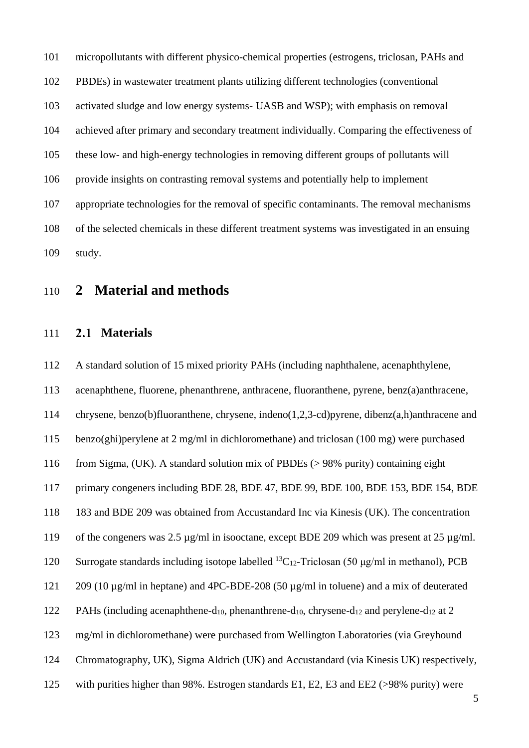micropollutants with different physico-chemical properties (estrogens, triclosan, PAHs and PBDEs) in wastewater treatment plants utilizing different technologies (conventional activated sludge and low energy systems- UASB and WSP); with emphasis on removal achieved after primary and secondary treatment individually. Comparing the effectiveness of these low- and high-energy technologies in removing different groups of pollutants will provide insights on contrasting removal systems and potentially help to implement appropriate technologies for the removal of specific contaminants. The removal mechanisms of the selected chemicals in these different treatment systems was investigated in an ensuing study.

# **2 Material and methods**

### **Materials**

 A standard solution of 15 mixed priority PAHs (including naphthalene, acenaphthylene, acenaphthene, fluorene, phenanthrene, anthracene, fluoranthene, pyrene, benz(a)anthracene, chrysene, benzo(b)fluoranthene, chrysene, indeno(1,2,3-cd)pyrene, dibenz(a,h)anthracene and benzo(ghi)perylene at 2 mg/ml in dichloromethane) and triclosan (100 mg) were purchased from Sigma, (UK). A standard solution mix of PBDEs (> 98% purity) containing eight primary congeners including BDE 28, BDE 47, BDE 99, BDE 100, BDE 153, BDE 154, BDE 183 and BDE 209 was obtained from Accustandard Inc via Kinesis (UK). The concentration of the congeners was 2.5 µg/ml in isooctane, except BDE 209 which was present at 25 µg/ml. 120 Surrogate standards including isotope labelled  ${}^{13}C_{12}$ -Triclosan (50 μg/ml in methanol), PCB 209 (10 µg/ml in heptane) and 4PC-BDE-208 (50 µg/ml in toluene) and a mix of deuterated 122 PAHs (including acenaphthene-d<sub>10</sub>, phenanthrene-d<sub>10</sub>, chrysene-d<sub>12</sub> and perylene-d<sub>12</sub> at 2 mg/ml in dichloromethane) were purchased from Wellington Laboratories (via Greyhound Chromatography, UK), Sigma Aldrich (UK) and Accustandard (via Kinesis UK) respectively, with purities higher than 98%. Estrogen standards E1, E2, E3 and EE2 (>98% purity) were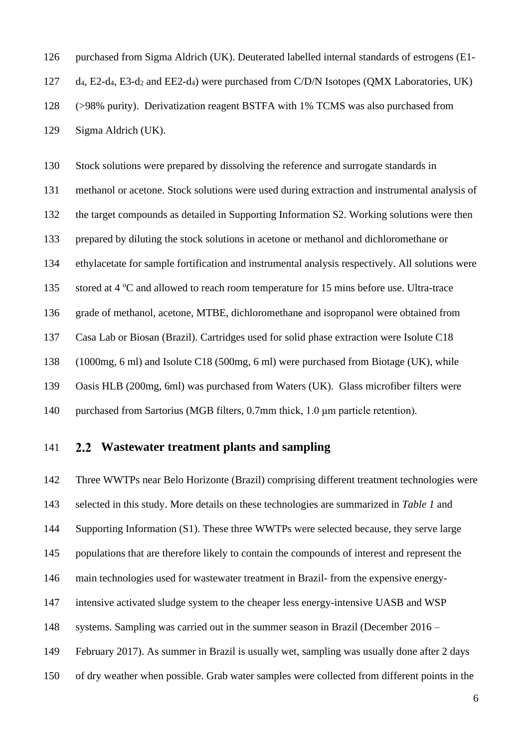purchased from Sigma Aldrich (UK). Deuterated labelled internal standards of estrogens (E1-

d4, E2-d4, E3-d<sup>2</sup> and EE2-d4) were purchased from C/D/N Isotopes (QMX Laboratories, UK)

(>98% purity). Derivatization reagent BSTFA with 1% TCMS was also purchased from

Sigma Aldrich (UK).

Stock solutions were prepared by dissolving the reference and surrogate standards in

methanol or acetone. Stock solutions were used during extraction and instrumental analysis of

the target compounds as detailed in Supporting Information S2. Working solutions were then

prepared by diluting the stock solutions in acetone or methanol and dichloromethane or

ethylacetate for sample fortification and instrumental analysis respectively. All solutions were

135 stored at  $4^{\circ}$ C and allowed to reach room temperature for 15 mins before use. Ultra-trace

grade of methanol, acetone, MTBE, dichloromethane and isopropanol were obtained from

Casa Lab or Biosan (Brazil). Cartridges used for solid phase extraction were Isolute C18

(1000mg, 6 ml) and Isolute C18 (500mg, 6 ml) were purchased from Biotage (UK), while

Oasis HLB (200mg, 6ml) was purchased from Waters (UK). Glass microfiber filters were

purchased from Sartorius (MGB filters, 0.7mm thick, 1.0 μm particle retention).

### **Wastewater treatment plants and sampling**

Three WWTPs near Belo Horizonte (Brazil) comprising different treatment technologies were

selected in this study. More details on these technologies are summarized in *[Table 1](#page-11-0)* and

Supporting Information (S1). These three WWTPs were selected because, they serve large

populations that are therefore likely to contain the compounds of interest and represent the

main technologies used for wastewater treatment in Brazil- from the expensive energy-

- intensive activated sludge system to the cheaper less energy-intensive UASB and WSP
- systems. Sampling was carried out in the summer season in Brazil (December 2016 –
- February 2017). As summer in Brazil is usually wet, sampling was usually done after 2 days
- of dry weather when possible. Grab water samples were collected from different points in the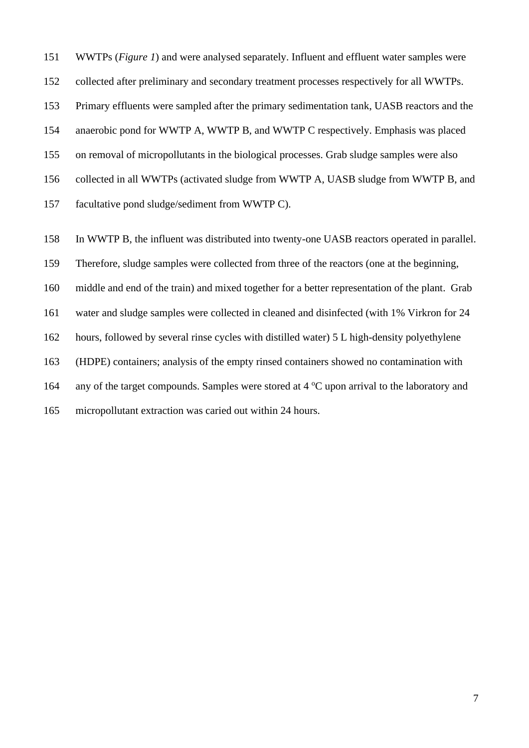WWTPs (*[Figure 1](#page-7-0)*) and were analysed separately. Influent and effluent water samples were

collected after preliminary and secondary treatment processes respectively for all WWTPs.

Primary effluents were sampled after the primary sedimentation tank, UASB reactors and the

anaerobic pond for WWTP A, WWTP B, and WWTP C respectively. Emphasis was placed

on removal of micropollutants in the biological processes. Grab sludge samples were also

collected in all WWTPs (activated sludge from WWTP A, UASB sludge from WWTP B, and

facultative pond sludge/sediment from WWTP C).

In WWTP B, the influent was distributed into twenty-one UASB reactors operated in parallel.

Therefore, sludge samples were collected from three of the reactors (one at the beginning,

middle and end of the train) and mixed together for a better representation of the plant. Grab

water and sludge samples were collected in cleaned and disinfected (with 1% Virkron for 24

hours, followed by several rinse cycles with distilled water) 5 L high-density polyethylene

(HDPE) containers; analysis of the empty rinsed containers showed no contamination with

164 any of the target compounds. Samples were stored at  $4^{\circ}$ C upon arrival to the laboratory and

micropollutant extraction was caried out within 24 hours.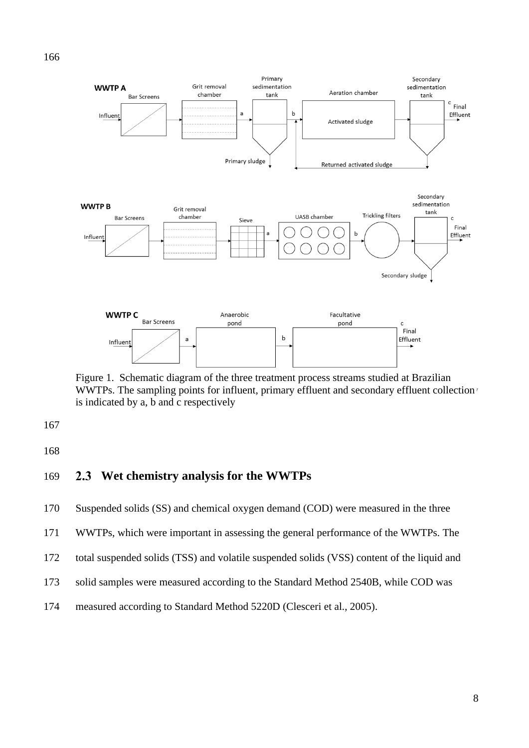

<span id="page-7-0"></span>Figure 1. Schematic diagram of the three treatment process streams studied at Brazilian WWTPs. The sampling points for influent, primary effluent and secondary effluent collection<sup>1</sup> is indicated by a, b and c respectively

### **Wet chemistry analysis for the WWTPs**

Suspended solids (SS) and chemical oxygen demand (COD) were measured in the three

WWTPs, which were important in assessing the general performance of the WWTPs. The

total suspended solids (TSS) and volatile suspended solids (VSS) content of the liquid and

- solid samples were measured according to the Standard Method 2540B, while COD was
- measured according to Standard Method 5220D [\(Clesceri et al., 2005\)](#page-28-4).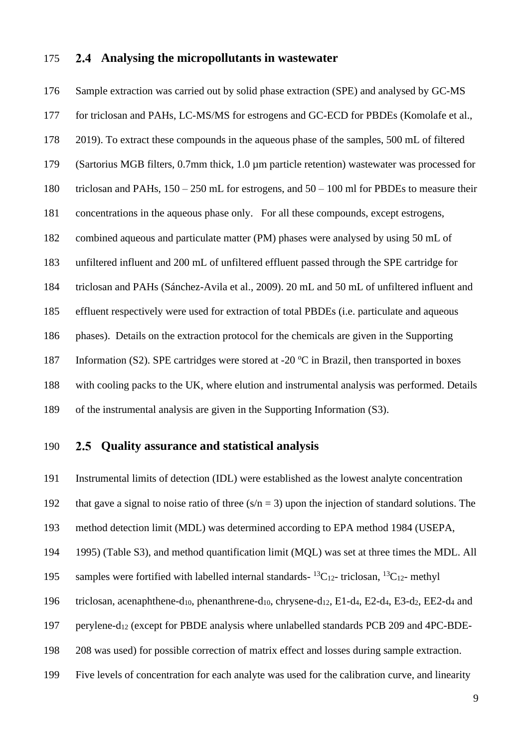### **Analysing the micropollutants in wastewater**

 Sample extraction was carried out by solid phase extraction (SPE) and analysed by GC-MS for triclosan and PAHs, LC-MS/MS for estrogens and GC-ECD for PBDEs [\(Komolafe et al.,](#page-30-4)  [2019\)](#page-30-4). To extract these compounds in the aqueous phase of the samples, 500 mL of filtered (Sartorius MGB filters, 0.7mm thick, 1.0 µm particle retention) wastewater was processed for triclosan and PAHs, 150 – 250 mL for estrogens, and 50 – 100 ml for PBDEs to measure their concentrations in the aqueous phase only. For all these compounds, except estrogens, combined aqueous and particulate matter (PM) phases were analysed by using 50 mL of unfiltered influent and 200 mL of unfiltered effluent passed through the SPE cartridge for triclosan and PAHs [\(Sánchez-Avila et al., 2009\)](#page-31-2). 20 mL and 50 mL of unfiltered influent and effluent respectively were used for extraction of total PBDEs (i.e. particulate and aqueous phases). Details on the extraction protocol for the chemicals are given in the Supporting 187 Information (S2). SPE cartridges were stored at -20  $^{\circ}$ C in Brazil, then transported in boxes with cooling packs to the UK, where elution and instrumental analysis was performed. Details of the instrumental analysis are given in the Supporting Information (S3).

### **Quality assurance and statistical analysis**

Instrumental limits of detection (IDL) were established as the lowest analyte concentration

192 that gave a signal to noise ratio of three  $(s/n = 3)$  upon the injection of standard solutions. The

method detection limit (MDL) was determined according to EPA method 1984 (USEPA,

1995) (Table S3), and method quantification limit (MQL) was set at three times the MDL. All

- 195 samples were fortified with labelled internal standards- ${}^{13}C_{12}$  triclosan,  ${}^{13}C_{12}$  methyl
- triclosan, acenaphthene-d10, phenanthrene-d10, chrysene-d12, E1-d4, E2-d4, E3-d2, EE2-d<sup>4</sup> and
- perylene-d<sup>12</sup> (except for PBDE analysis where unlabelled standards PCB 209 and 4PC-BDE-
- 208 was used) for possible correction of matrix effect and losses during sample extraction.
- Five levels of concentration for each analyte was used for the calibration curve, and linearity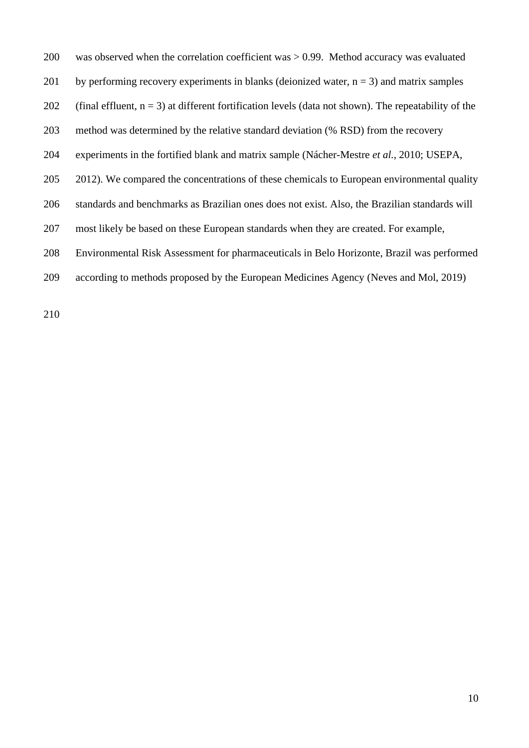was observed when the correlation coefficient was > 0.99. Method accuracy was evaluated 201 by performing recovery experiments in blanks (deionized water,  $n = 3$ ) and matrix samples 202 (final effluent,  $n = 3$ ) at different fortification levels (data not shown). The repeatability of the method was determined by the relative standard deviation (% RSD) from the recovery experiments in the fortified blank and matrix sample (Nácher-Mestre *et al.*, 2010; USEPA, 205 2012). We compared the concentrations of these chemicals to European environmental quality standards and benchmarks as Brazilian ones does not exist. Also, the Brazilian standards will most likely be based on these European standards when they are created. For example, Environmental Risk Assessment for pharmaceuticals in Belo Horizonte, Brazil was performed according to methods proposed by the European Medicines Agency [\(Neves and Mol, 2019\)](#page-31-3)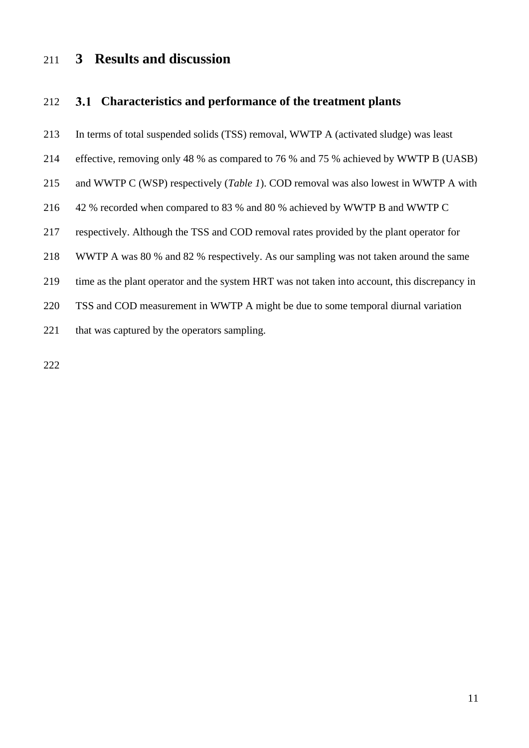# **3 Results and discussion**

### **Characteristics and performance of the treatment plants**

- In terms of total suspended solids (TSS) removal, WWTP A (activated sludge) was least
- effective, removing only 48 % as compared to 76 % and 75 % achieved by WWTP B (UASB)
- and WWTP C (WSP) respectively (*[Table 1](#page-11-0)*). COD removal was also lowest in WWTP A with
- 42 % recorded when compared to 83 % and 80 % achieved by WWTP B and WWTP C
- respectively. Although the TSS and COD removal rates provided by the plant operator for
- WWTP A was 80 % and 82 % respectively. As our sampling was not taken around the same
- time as the plant operator and the system HRT was not taken into account, this discrepancy in
- TSS and COD measurement in WWTP A might be due to some temporal diurnal variation
- 221 that was captured by the operators sampling.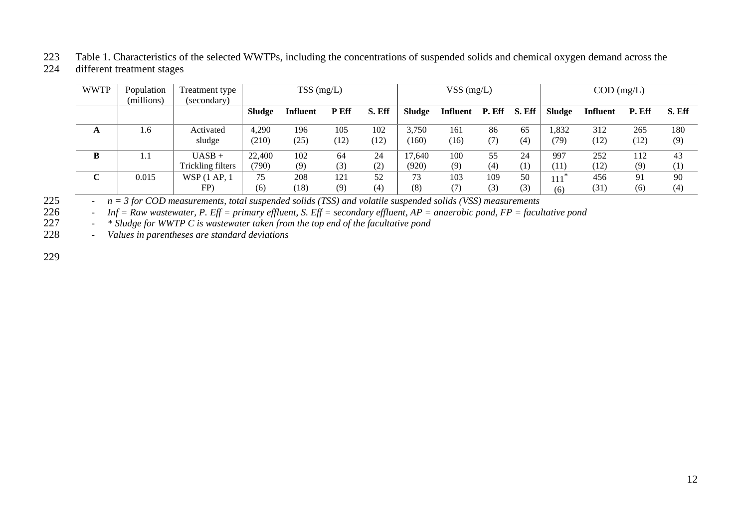# 223 Table 1. Characteristics of the selected WWTPs, including the concentrations of suspended solids and chemical oxygen demand across the

### different treatment stages

| <b>WWTP</b> | Population | Treatment type    | $TSS$ (mg/L)  |                 |             | VSS $(mg/L)$ |               |          |        | $COD$ (mg/L)     |               |          |        |        |
|-------------|------------|-------------------|---------------|-----------------|-------------|--------------|---------------|----------|--------|------------------|---------------|----------|--------|--------|
|             | (millions) | (secondary)       |               |                 |             |              |               |          |        |                  |               |          |        |        |
|             |            |                   | <b>Sludge</b> | <b>Influent</b> | <b>PEff</b> | S. Eff       | <b>Sludge</b> | Influent | P. Eff | S. Eff           | <b>Sludge</b> | Influent | P. Eff | S. Eff |
| A           | 1.6        | Activated         | 4.290         | 196             | 105         | 102          | 3.750         | 161      | 86     | 65               | 1,832         | 312      | 265    | 180    |
|             |            | sludge            | (210)         | (25)            | (12)        | (12)         | (160)         | (16)     | (7)    | (4)              | (79)          | (12)     | (12)   | (9)    |
| B           | 1.1        | $UASB +$          | 22,400        | 102             | 64          | 24           | 17.640        | 100      | 55     | 24               | 997           | 252      | 112    | 43     |
|             |            | Trickling filters | (790)         | (9)             | (3)         | (2)          | (920)         | (9)      | (4)    | $\left(1\right)$ | (11)          | (12)     | (9)    | (1)    |
| C           | 0.015      | WSP (1 AP, 1      | 75            | 208             | 121         | 52           | 73            | 103      | 109    | 50               | $111*$        | 456      | 91     | 90     |
|             |            | FP)               | (6)           | (18)            | (9)         | (4)          | (8)           | (7)      | (3)    | (3)              | (6)           | (31)     | (6)    | (4)    |

225 - *n = 3 for COD measurements, total suspended solids (TSS) and volatile suspended solids (VSS) measurements*

226 - *Inf = Raw wastewater, P. Eff = primary effluent, S. Eff = secondary effluent, AP = anaerobic pond, FP = facultative pond*

227 - *\* Sludge for WWTP C is wastewater taken from the top end of the facultative pond*

<span id="page-11-0"></span>228 - *Values in parentheses are standard deviations*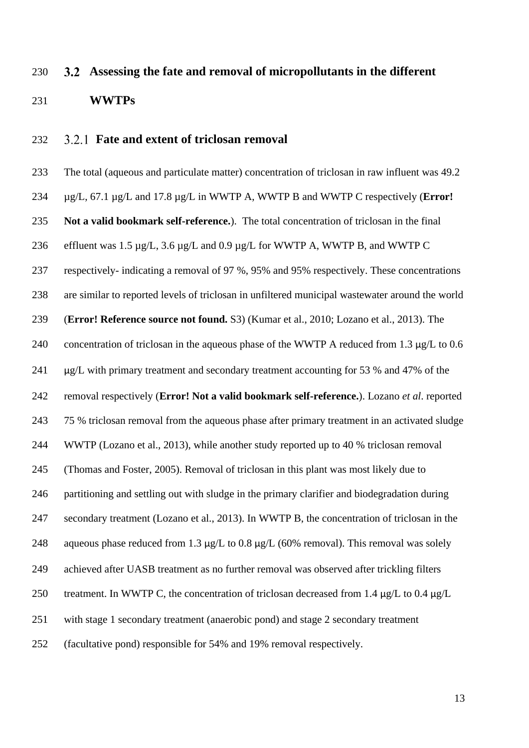# **Assessing the fate and removal of micropollutants in the different WWTPs**

### **Fate and extent of triclosan removal**

 The total (aqueous and particulate matter) concentration of triclosan in raw influent was 49.2 µg/L, 67.1 µg/L and 17.8 µg/L in WWTP A, WWTP B and WWTP C respectively (**Error! Not a valid bookmark self-reference.**). The total concentration of triclosan in the final 236 effluent was 1.5  $\mu$ g/L, 3.6  $\mu$ g/L and 0.9  $\mu$ g/L for WWTP A, WWTP B, and WWTP C respectively- indicating a removal of 97 %, 95% and 95% respectively. These concentrations are similar to reported levels of triclosan in unfiltered municipal wastewater around the world (**Error! Reference source not found.** S3) [\(Kumar et al., 2010;](#page-30-5) [Lozano et al., 2013\)](#page-30-6). The 240 concentration of triclosan in the aqueous phase of the WWTP A reduced from 1.3 µg/L to 0.6 241 µg/L with primary treatment and secondary treatment accounting for 53 % and 47% of the removal respectively (**Error! Not a valid bookmark self-reference.**). Lozano *et al*. reported 75 % triclosan removal from the aqueous phase after primary treatment in an activated sludge WWTP [\(Lozano et al., 2013\)](#page-30-6), while another study reported up to 40 % triclosan removal [\(Thomas and Foster, 2005\)](#page-32-4). Removal of triclosan in this plant was most likely due to partitioning and settling out with sludge in the primary clarifier and biodegradation during secondary treatment [\(Lozano et al., 2013\)](#page-30-6). In WWTP B, the concentration of triclosan in the 248 aqueous phase reduced from 1.3  $\mu$ g/L to 0.8  $\mu$ g/L (60% removal). This removal was solely achieved after UASB treatment as no further removal was observed after trickling filters 250 treatment. In WWTP C, the concentration of triclosan decreased from 1.4  $\mu$ g/L to 0.4  $\mu$ g/L with stage 1 secondary treatment (anaerobic pond) and stage 2 secondary treatment (facultative pond) responsible for 54% and 19% removal respectively.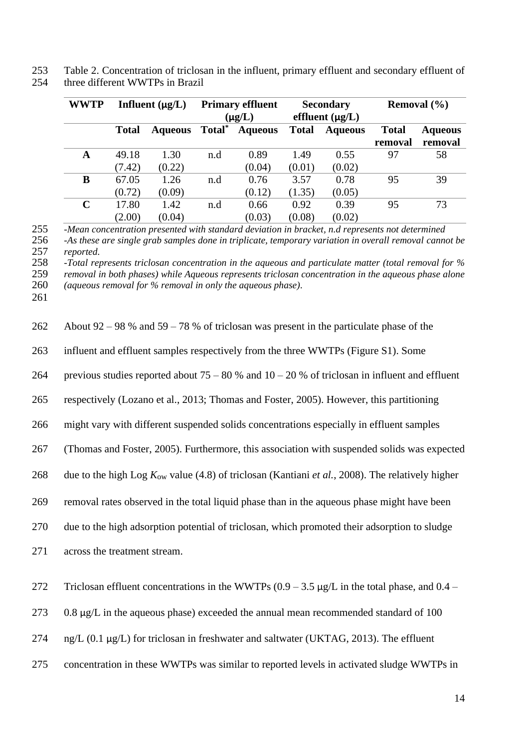253 Table 2. Concentration of triclosan in the influent, primary effluent and secondary effluent of 254 three different WWTPs in Brazil

| <b>WWTP</b> | Influent $(\mu g/L)$ |                | <b>Primary effluent</b> |                | <b>Secondary</b> |                      | Removal $(\% )$ |                |
|-------------|----------------------|----------------|-------------------------|----------------|------------------|----------------------|-----------------|----------------|
|             |                      |                | $(\mu g/L)$             |                |                  | effluent $(\mu g/L)$ |                 |                |
|             | <b>Total</b>         | <b>Aqueous</b> | Total <sup>*</sup>      | <b>Aqueous</b> | <b>Total</b>     | <b>Aqueous</b>       | <b>Total</b>    | <b>Aqueous</b> |
|             |                      |                |                         |                |                  |                      | removal         | removal        |
| A           | 49.18                | 1.30           | n.d                     | 0.89           | 1.49             | 0.55                 | 97              | 58             |
|             | (7.42)               | (0.22)         |                         | (0.04)         | (0.01)           | (0.02)               |                 |                |
| B           | 67.05                | 1.26           | n.d                     | 0.76           | 3.57             | 0.78                 | 95              | 39             |
|             | (0.72)               | (0.09)         |                         | (0.12)         | (1.35)           | (0.05)               |                 |                |
| $\mathbf C$ | 17.80                | 1.42           | n.d                     | 0.66           | 0.92             | 0.39                 | 95              | 73             |
|             | (2.00)               | (0.04)         |                         | (0.03)         | (0.08)           | (0.02)               |                 |                |

255 *-Mean concentration presented with standard deviation in bracket, n.d represents not determined* 256 *-As these are single grab samples done in triplicate, temporary variation in overall removal cannot be* 

257 *reported.*

258 *-Total represents triclosan concentration in the aqueous and particulate matter (total removal for %* 

259 *removal in both phases) while Aqueous represents triclosan concentration in the aqueous phase alone*

260 *(aqueous removal for % removal in only the aqueous phase).* 261

| 262 | About 92 – 98 % and 59 – 78 % of triclosan was present in the particulate phase of the                       |
|-----|--------------------------------------------------------------------------------------------------------------|
| 263 | influent and effluent samples respectively from the three WWTPs (Figure S1). Some                            |
| 264 | previous studies reported about $75 - 80$ % and $10 - 20$ % of triclosan in influent and effluent            |
| 265 | respectively (Lozano et al., 2013; Thomas and Foster, 2005). However, this partitioning                      |
| 266 | might vary with different suspended solids concentrations especially in effluent samples                     |
| 267 | (Thomas and Foster, 2005). Furthermore, this association with suspended solids was expected                  |
| 268 | due to the high Log $K_{ow}$ value (4.8) of triclosan (Kantiani <i>et al.</i> , 2008). The relatively higher |
| 269 | removal rates observed in the total liquid phase than in the aqueous phase might have been                   |
| 270 | due to the high adsorption potential of triclosan, which promoted their adsorption to sludge                 |
| 271 | across the treatment stream.                                                                                 |
| 272 | Triclosan effluent concentrations in the WWTPs $(0.9 - 3.5 \mu g/L)$ in the total phase, and 0.4 –           |
| 273 | $0.8 \mu g/L$ in the aqueous phase) exceeded the annual mean recommended standard of 100                     |
| 274 | ng/L (0.1 μg/L) for triclosan in freshwater and saltwater (UKTAG, 2013). The effluent                        |
| 275 | concentration in these WWTPs was similar to reported levels in activated sludge WWTPs in                     |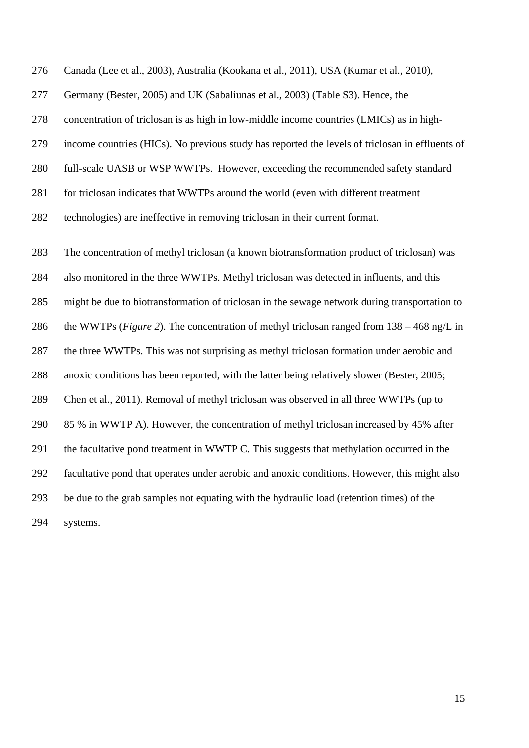Canada [\(Lee et al., 2003\)](#page-30-7), Australia [\(Kookana et al., 2011\)](#page-30-8), USA [\(Kumar et al., 2010\)](#page-30-5),

Germany [\(Bester, 2005\)](#page-27-5) and UK [\(Sabaliunas et al., 2003\)](#page-31-4) (Table S3). Hence, the

concentration of triclosan is as high in low-middle income countries (LMICs) as in high-

income countries (HICs). No previous study has reported the levels of triclosan in effluents of

full-scale UASB or WSP WWTPs. However, exceeding the recommended safety standard

for triclosan indicates that WWTPs around the world (even with different treatment

technologies) are ineffective in removing triclosan in their current format.

 The concentration of methyl triclosan (a known biotransformation product of triclosan) was also monitored in the three WWTPs. Methyl triclosan was detected in influents, and this might be due to biotransformation of triclosan in the sewage network during transportation to the WWTPs (*[Figure 2](#page-15-0)*). The concentration of methyl triclosan ranged from 138 – 468 ng/L in the three WWTPs. This was not surprising as methyl triclosan formation under aerobic and anoxic conditions has been reported, with the latter being relatively slower [\(Bester, 2005;](#page-27-5) [Chen et al., 2011\)](#page-27-4). Removal of methyl triclosan was observed in all three WWTPs (up to 85 % in WWTP A). However, the concentration of methyl triclosan increased by 45% after the facultative pond treatment in WWTP C. This suggests that methylation occurred in the facultative pond that operates under aerobic and anoxic conditions. However, this might also be due to the grab samples not equating with the hydraulic load (retention times) of the systems.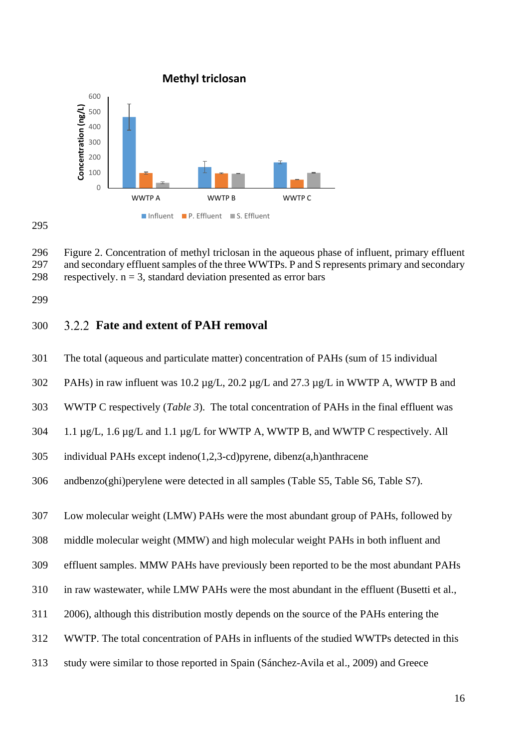

<span id="page-15-0"></span> Figure 2. Concentration of methyl triclosan in the aqueous phase of influent, primary effluent and secondary effluent samples of the three WWTPs. P and S represents primary and secondary 298 respectively.  $n = 3$ , standard deviation presented as error bars

### **Fate and extent of PAH removal**

- The total (aqueous and particulate matter) concentration of PAHs (sum of 15 individual
- 302 PAHs) in raw influent was 10.2  $\mu$ g/L, 20.2  $\mu$ g/L and 27.3  $\mu$ g/L in WWTP A, WWTP B and
- WWTP C respectively (*[Table 3](#page-16-0)*). The total concentration of PAHs in the final effluent was
- 304 1.1  $\mu$ g/L, 1.6  $\mu$ g/L and 1.1  $\mu$ g/L for WWTP A, WWTP B, and WWTP C respectively. All
- individual PAHs except indeno(1,2,3-cd)pyrene, dibenz(a,h)anthracene
- andbenzo(ghi)perylene were detected in all samples (Table S5, Table S6, Table S7).

Low molecular weight (LMW) PAHs were the most abundant group of PAHs, followed by

middle molecular weight (MMW) and high molecular weight PAHs in both influent and

effluent samples. MMW PAHs have previously been reported to be the most abundant PAHs

- in raw wastewater, while LMW PAHs were the most abundant in the effluent [\(Busetti et al.,](#page-27-6)
- [2006\)](#page-27-6), although this distribution mostly depends on the source of the PAHs entering the
- WWTP. The total concentration of PAHs in influents of the studied WWTPs detected in this
- study were similar to those reported in Spain [\(Sánchez-Avila et al., 2009\)](#page-31-2) and Greece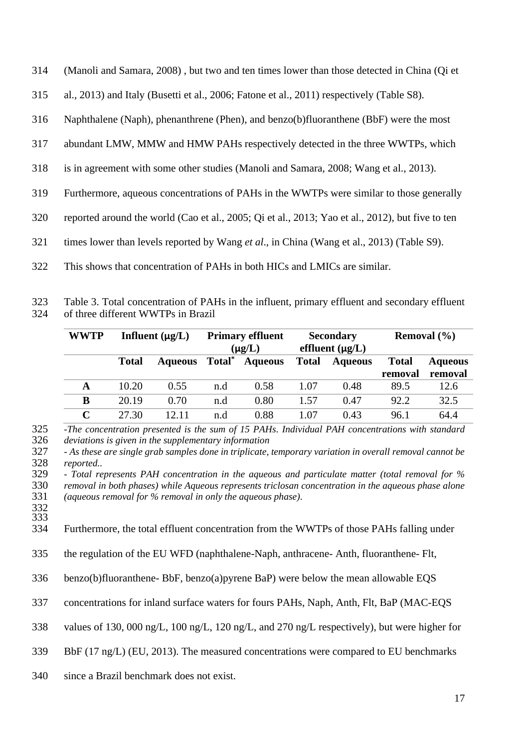| 314 | (Manoli and Samara, 2008), but two and ten times lower than those detected in China (Qi et |  |  |  |  |
|-----|--------------------------------------------------------------------------------------------|--|--|--|--|
|     |                                                                                            |  |  |  |  |

[al., 2013\)](#page-31-6) and Italy [\(Busetti et al., 2006;](#page-27-6) [Fatone et al., 2011\)](#page-29-5) respectively (Table S8).

Naphthalene (Naph), phenanthrene (Phen), and benzo(b)fluoranthene (BbF) were the most

- abundant LMW, MMW and HMW PAHs respectively detected in the three WWTPs, which
- is in agreement with some other studies [\(Manoli and Samara, 2008;](#page-31-5) [Wang et al., 2013\)](#page-32-1).
- Furthermore, aqueous concentrations of PAHs in the WWTPs were similar to those generally
- reported around the world [\(Cao et al., 2005;](#page-27-7) [Qi et al., 2013;](#page-31-6) [Yao et al., 2012\)](#page-32-5), but five to ten
- times lower than levels reported by Wang *et al*., in China [\(Wang et al., 2013\)](#page-32-1) (Table S9).
- This shows that concentration of PAHs in both HICs and LMICs are similar.

<span id="page-16-0"></span> Table 3. Total concentration of PAHs in the influent, primary effluent and secondary effluent of three different WWTPs in Brazil

| <b>WWTP</b> | Influent $(\mu g/L)$ |                | <b>Primary effluent</b> |                | <b>Secondary</b>     |                | Removal $(\% )$ |                |
|-------------|----------------------|----------------|-------------------------|----------------|----------------------|----------------|-----------------|----------------|
|             |                      |                | $(\mu g/L)$             |                | effluent $(\mu g/L)$ |                |                 |                |
|             | <b>Total</b>         | <b>Aqueous</b> | Total <sup>*</sup>      | <b>Aqueous</b> | <b>Total</b>         | <b>Aqueous</b> | <b>Total</b>    | <b>Aqueous</b> |
|             |                      |                |                         |                |                      |                | removal         | removal        |
| A           | 10.20                | 0.55           | n.d                     | 0.58           | 1.07                 | 0.48           | 89.5            | 12.6           |
| B           | 20.19                | 0.70           | n.d                     | 0.80           | 1.57                 | 0.47           | 92.2            | 32.5           |
| $\mathbf C$ | 27.30                | 12.11          | n.d                     | 0.88           | 1.07                 | 0.43           | 96.1            | 64.4           |

 *-The concentration presented is the sum of 15 PAHs. Individual PAH concentrations with standard deviations is given in the supplementary information*

 *- Total represents PAH concentration in the aqueous and particulate matter (total removal for % removal in both phases) while Aqueous represents triclosan concentration in the aqueous phase alone (aqueous removal for % removal in only the aqueous phase).* 

Furthermore, the total effluent concentration from the WWTPs of those PAHs falling under

- the regulation of the EU WFD (naphthalene-Naph, anthracene- Anth, fluoranthene- Flt,
- benzo(b)fluoranthene- BbF, benzo(a)pyrene BaP) were below the mean allowable EQS
- concentrations for inland surface waters for fours PAHs, Naph, Anth, Flt, BaP (MAC-EQS

values of 130, 000 ng/L, 100 ng/L, 120 ng/L, and 270 ng/L respectively), but were higher for

- BbF (17 ng/L) [\(EU, 2013\)](#page-29-2). The measured concentrations were compared to EU benchmarks
- since a Brazil benchmark does not exist.

 *- As these are single grab samples done in triplicate, temporary variation in overall removal cannot be*   $reported.$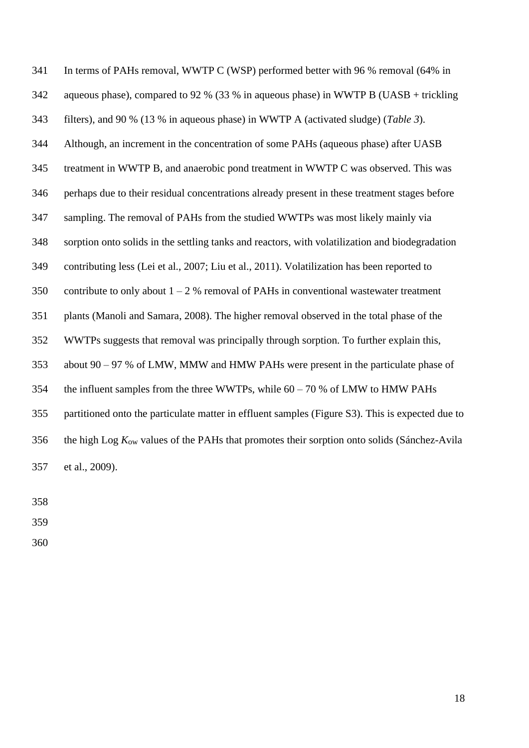In terms of PAHs removal, WWTP C (WSP) performed better with 96 % removal (64% in aqueous phase), compared to 92 % (33 % in aqueous phase) in WWTP B (UASB + trickling filters), and 90 % (13 % in aqueous phase) in WWTP A (activated sludge) (*[Table 3](#page-16-0)*). Although, an increment in the concentration of some PAHs (aqueous phase) after UASB treatment in WWTP B, and anaerobic pond treatment in WWTP C was observed. This was perhaps due to their residual concentrations already present in these treatment stages before sampling. The removal of PAHs from the studied WWTPs was most likely mainly via sorption onto solids in the settling tanks and reactors, with volatilization and biodegradation contributing less [\(Lei et al., 2007;](#page-30-9) [Liu et al., 2011\)](#page-30-10). Volatilization has been reported to 350 contribute to only about  $1 - 2$  % removal of PAHs in conventional wastewater treatment plants [\(Manoli and Samara, 2008\)](#page-31-5). The higher removal observed in the total phase of the WWTPs suggests that removal was principally through sorption. To further explain this, about 90 – 97 % of LMW, MMW and HMW PAHs were present in the particulate phase of the influent samples from the three WWTPs, while 60 – 70 % of LMW to HMW PAHs partitioned onto the particulate matter in effluent samples (Figure S3). This is expected due to the high Log *K*ow values of the PAHs that promotes their sorption onto solids [\(Sánchez-Avila](#page-31-2)  [et al., 2009\)](#page-31-2).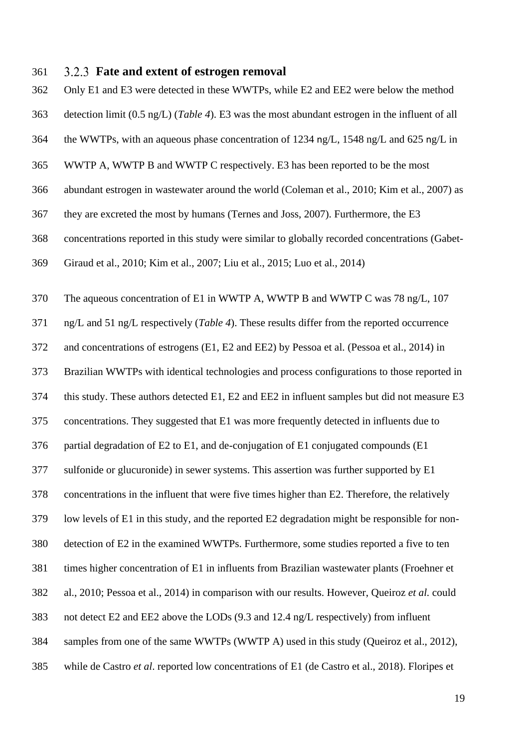#### **Fate and extent of estrogen removal**

 Only E1 and E3 were detected in these WWTPs, while E2 and EE2 were below the method detection limit (0.5 ng/L) (*[Table 4](#page-19-0)*). E3 was the most abundant estrogen in the influent of all the WWTPs, with an aqueous phase concentration of 1234 ng/L, 1548 ng/L and 625 ng/L in WWTP A, WWTP B and WWTP C respectively. E3 has been reported to be the most abundant estrogen in wastewater around the world [\(Coleman et al., 2010;](#page-28-5) [Kim et al., 2007\)](#page-29-6) as they are excreted the most by humans [\(Ternes and Joss, 2007\)](#page-32-6). Furthermore, the E3 concentrations reported in this study were similar to globally recorded concentrations [\(Gabet-](#page-29-7) [Giraud et al., 2010;](#page-29-7) [Kim et al., 2007;](#page-29-6) [Liu et al., 2015;](#page-30-11) [Luo et al., 2014\)](#page-30-0) The aqueous concentration of E1 in WWTP A, WWTP B and WWTP C was 78 ng/L, 107 ng/L and 51 ng/L respectively (*[Table 4](#page-19-0)*). These results differ from the reported occurrence and concentrations of estrogens (E1, E2 and EE2) by Pessoa et al. [\(Pessoa et al., 2014\)](#page-31-0) in Brazilian WWTPs with identical technologies and process configurations to those reported in this study. These authors detected E1, E2 and EE2 in influent samples but did not measure E3 concentrations. They suggested that E1 was more frequently detected in influents due to partial degradation of E2 to E1, and de-conjugation of E1 conjugated compounds (E1 sulfonide or glucuronide) in sewer systems. This assertion was further supported by E1 concentrations in the influent that were five times higher than E2. Therefore, the relatively low levels of E1 in this study, and the reported E2 degradation might be responsible for non- detection of E2 in the examined WWTPs. Furthermore, some studies reported a five to ten times higher concentration of E1 in influents from Brazilian wastewater plants [\(Froehner et](#page-29-3)  [al., 2010;](#page-29-3) [Pessoa et al., 2014\)](#page-31-0) in comparison with our results. However, Queiroz *et al.* could not detect E2 and EE2 above the LODs (9.3 and 12.4 ng/L respectively) from influent samples from one of the same WWTPs (WWTP A) used in this study [\(Queiroz et al., 2012\)](#page-31-7), while de Castro *et al*. reported low concentrations of E1 [\(de Castro et al., 2018\)](#page-28-6). Floripes et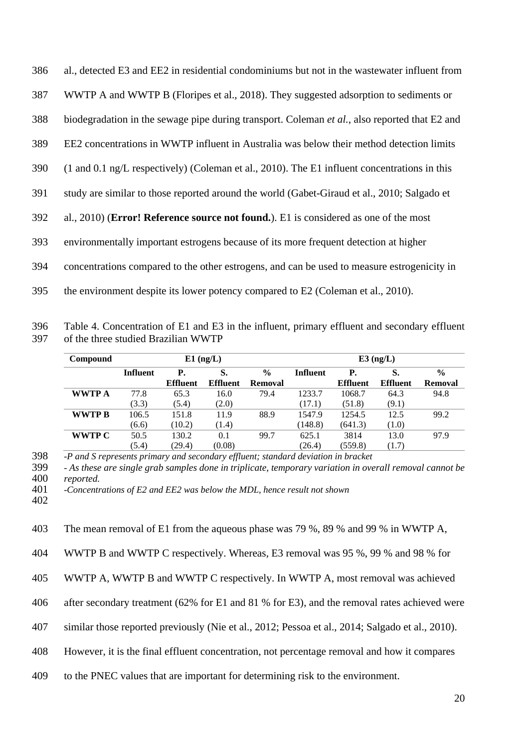| 386 | al., detected E3 and EE2 in residential condominiums but not in the wastewater influent from                    |
|-----|-----------------------------------------------------------------------------------------------------------------|
| 387 | WWTP A and WWTP B (Floripes et al., 2018). They suggested adsorption to sediments or                            |
| 388 | biodegradation in the sewage pipe during transport. Coleman et al., also reported that E2 and                   |
| 389 | EE2 concentrations in WWTP influent in Australia was below their method detection limits                        |
| 390 | $(1 \text{ and } 0.1 \text{ ng/L respectively})$ (Coleman et al., 2010). The E1 influent concentrations in this |
| 391 | study are similar to those reported around the world (Gabet-Giraud et al., 2010; Salgado et                     |
| 392 | al., 2010) (Error! Reference source not found.). E1 is considered as one of the most                            |
| 393 | environmentally important estrogens because of its more frequent detection at higher                            |
| 394 | concentrations compared to the other estrogens, and can be used to measure estrogenicity in                     |
| 395 | the environment despite its lower potency compared to E2 (Coleman et al., 2010).                                |

<span id="page-19-0"></span>396 Table 4. Concentration of E1 and E3 in the influent, primary effluent and secondary effluent 397 of the three studied Brazilian WWTP

| Compound      |                 |                 | $E1$ (ng/L) |               | $E3$ (ng/L)     |                 |                 |                |  |
|---------------|-----------------|-----------------|-------------|---------------|-----------------|-----------------|-----------------|----------------|--|
|               | <b>Influent</b> | P.              | S.          | $\frac{6}{9}$ | <b>Influent</b> | Р.              | S.              | $\frac{0}{0}$  |  |
|               |                 | <b>Effluent</b> | Effluent    | Removal       |                 | <b>Effluent</b> | <b>Effluent</b> | <b>Removal</b> |  |
| <b>WWTP A</b> | 77.8            | 65.3            | 16.0        | 79.4          | 1233.7          | 1068.7          | 64.3            | 94.8           |  |
|               | (3.3)           | (5.4)           | (2.0)       |               | (17.1)          | (51.8)          | (9.1)           |                |  |
| WWTP B        | 106.5           | 151.8           | 11.9        | 88.9          | 1547.9          | 1254.5          | 12.5            | 99.2           |  |
|               | (6.6)           | (10.2)          | (1.4)       |               | (148.8)         | (641.3)         | (1.0)           |                |  |
| <b>WWTP C</b> | 50.5            | 130.2           | 0.1         | 99.7          | 625.1           | 3814            | 13.0            | 97.9           |  |
|               | (5.4)           | (29.4)          | (0.08)      |               | (26.4)          | (559.8)         | (1.7)           |                |  |

398 *-P and S represents primary and secondary effluent; standard deviation in bracket*

399 *- As these are single grab samples done in triplicate, temporary variation in overall removal cannot be*  400 *reported.*

401 *-Concentrations of E2 and EE2 was below the MDL, hence result not shown*

402

403 The mean removal of E1 from the aqueous phase was 79 %, 89 % and 99 % in WWTP A,

404 WWTP B and WWTP C respectively. Whereas, E3 removal was 95 %, 99 % and 98 % for

405 WWTP A, WWTP B and WWTP C respectively. In WWTP A, most removal was achieved

406 after secondary treatment (62% for E1 and 81 % for E3), and the removal rates achieved were

407 similar those reported previously [\(Nie et al., 2012;](#page-31-9) [Pessoa et al., 2014;](#page-31-0) [Salgado et al., 2010\)](#page-31-8).

408 However, it is the final effluent concentration, not percentage removal and how it compares

409 to the PNEC values that are important for determining risk to the environment.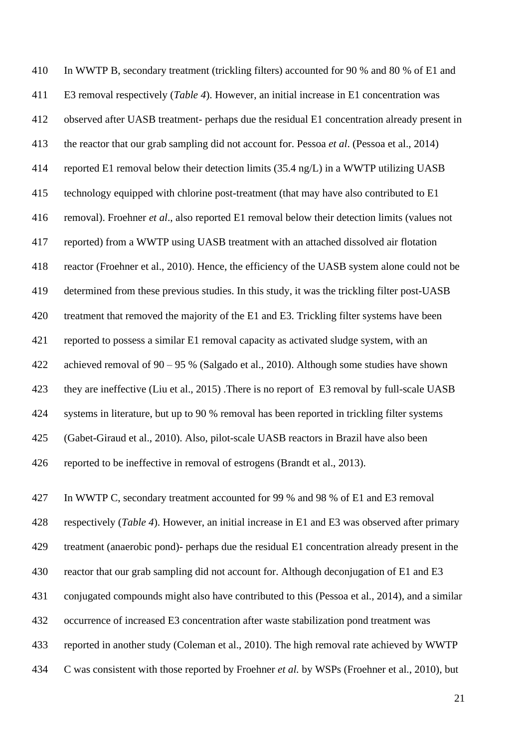In WWTP B, secondary treatment (trickling filters) accounted for 90 % and 80 % of E1 and E3 removal respectively (*[Table 4](#page-19-0)*). However, an initial increase in E1 concentration was observed after UASB treatment- perhaps due the residual E1 concentration already present in the reactor that our grab sampling did not account for. Pessoa *et al*. (Pessoa [et al., 2014\)](#page-31-0) reported E1 removal below their detection limits (35.4 ng/L) in a WWTP utilizing UASB technology equipped with chlorine post-treatment (that may have also contributed to E1 removal). Froehner *et al*., also reported E1 removal below their detection limits (values not reported) from a WWTP using UASB treatment with an attached dissolved air flotation reactor [\(Froehner et al., 2010\)](#page-29-3). Hence, the efficiency of the UASB system alone could not be determined from these previous studies. In this study, it was the trickling filter post-UASB treatment that removed the majority of the E1 and E3. Trickling filter systems have been reported to possess a similar E1 removal capacity as activated sludge system, with an achieved removal of 90 – 95 % [\(Salgado et al., 2010\)](#page-31-8). Although some studies have shown they are ineffective [\(Liu et al., 2015\)](#page-30-11) .There is no report of E3 removal by full-scale UASB systems in literature, but up to 90 % removal has been reported in trickling filter systems [\(Gabet-Giraud et al., 2010\)](#page-29-7). Also, pilot-scale UASB reactors in Brazil have also been reported to be ineffective in removal of estrogens [\(Brandt et al., 2013\)](#page-27-8).

 In WWTP C, secondary treatment accounted for 99 % and 98 % of E1 and E3 removal respectively (*[Table 4](#page-19-0)*). However, an initial increase in E1 and E3 was observed after primary treatment (anaerobic pond)- perhaps due the residual E1 concentration already present in the reactor that our grab sampling did not account for. Although deconjugation of E1 and E3 conjugated compounds might also have contributed to this [\(Pessoa et al., 2014\)](#page-31-0), and a similar occurrence of increased E3 concentration after waste stabilization pond treatment was reported in another study [\(Coleman et al., 2010\)](#page-28-5). The high removal rate achieved by WWTP C was consistent with those reported by Froehner *et al.* by WSPs [\(Froehner et al., 2010\)](#page-29-3), but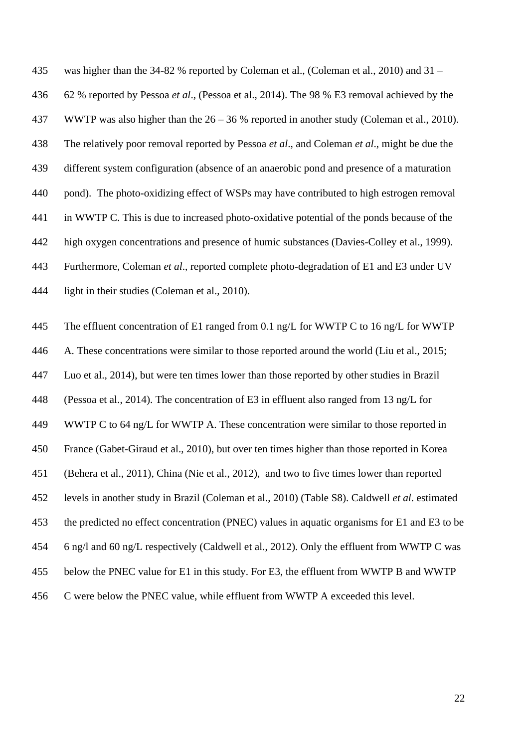was higher than the 34-82 % reported by Coleman et al., [\(Coleman et al., 2010\)](#page-28-5) and 31 – 62 % reported by Pessoa *et al*., [\(Pessoa et al., 2014\)](#page-31-0). The 98 % E3 removal achieved by the WWTP was also higher than the 26 – 36 % reported in another study [\(Coleman et al., 2010\)](#page-28-5). The relatively poor removal reported by Pessoa *et al*., and Coleman *et al*., might be due the different system configuration (absence of an anaerobic pond and presence of a maturation pond). The photo-oxidizing effect of WSPs may have contributed to high estrogen removal in WWTP C. This is due to increased photo-oxidative potential of the ponds because of the high oxygen concentrations and presence of humic substances [\(Davies-Colley et al., 1999\)](#page-28-7). Furthermore, Coleman *et al*., reported complete photo-degradation of E1 and E3 under UV light in their studies [\(Coleman et al., 2010\)](#page-28-5).

 The effluent concentration of E1 ranged from 0.1 ng/L for WWTP C to 16 ng/L for WWTP A. These concentrations were similar to those reported around the world [\(Liu et al., 2015;](#page-30-11) Luo et [al., 2014\)](#page-30-0), but were ten times lower than those reported by other studies in Brazil [\(Pessoa et al., 2014\)](#page-31-0). The concentration of E3 in effluent also ranged from 13 ng/L for WWTP C to 64 ng/L for WWTP A. These concentration were similar to those reported in France [\(Gabet-Giraud et al., 2010\)](#page-29-7), but over ten times higher than those reported in Korea [\(Behera et al., 2011\)](#page-27-9), China [\(Nie et al., 2012\)](#page-31-9), and two to five times lower than reported levels in another study in Brazil [\(Coleman et al., 2010\)](#page-28-5) (Table S8). Caldwell *et al*. estimated the predicted no effect concentration (PNEC) values in aquatic organisms for E1 and E3 to be 6 ng/l and 60 ng/L respectively [\(Caldwell et al., 2012\)](#page-27-10). Only the effluent from WWTP C was below the PNEC value for E1 in this study. For E3, the effluent from WWTP B and WWTP C were below the PNEC value, while effluent from WWTP A exceeded this level.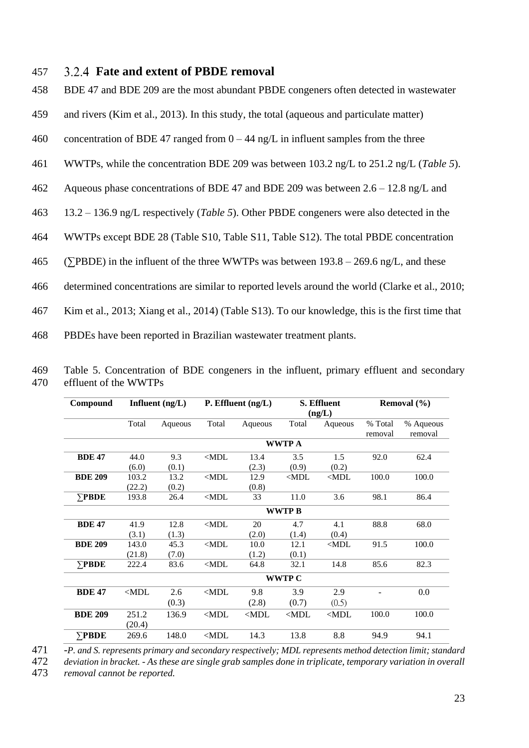### 457 **Fate and extent of PBDE removal**

458 BDE 47 and BDE 209 are the most abundant PBDE congeners often detected in wastewater

- 459 and rivers [\(Kim et al., 2013\)](#page-29-9). In this study, the total (aqueous and particulate matter)
- 460 concentration of BDE 47 ranged from  $0 44$  ng/L in influent samples from the three
- 461 WWTPs, while the concentration BDE 209 was between 103.2 ng/L to 251.2 ng/L (*[Table 5](#page-22-0)*).
- 462 Aqueous phase concentrations of BDE 47 and BDE 209 was between 2.6 12.8 ng/L and
- 463 13.2 136.9 ng/L respectively (*[Table 5](#page-22-0)*). Other PBDE congeners were also detected in the
- 464 WWTPs except BDE 28 (Table S10, Table S11, Table S12). The total PBDE concentration
- 465 (∑PBDE) in the influent of the three WWTPs was between 193.8 269.6 ng/L, and these
- 466 determined concentrations are similar to reported levels around the world [\(Clarke et al., 2010;](#page-28-8)

467 [Kim et al., 2013;](#page-29-9) [Xiang et al., 2014\)](#page-32-7) (Table S13). To our knowledge, this is the first time that

468 PBDEs have been reported in Brazilian wastewater treatment plants.

| Compound       | Influent $(ng/L)$ |               |                 | P. Effluent $(ng/L)$ |                 | S. Effluent<br>(ng/L) |                    | Removal $(\% )$      |  |  |
|----------------|-------------------|---------------|-----------------|----------------------|-----------------|-----------------------|--------------------|----------------------|--|--|
|                | Total             | Aqueous       | Total           | Aqueous              | Total           | Aqueous               | % Total<br>removal | % Aqueous<br>removal |  |  |
|                |                   |               |                 |                      | <b>WWTP A</b>   |                       |                    |                      |  |  |
| <b>BDE 47</b>  | 44.0<br>(6.0)     | 9.3<br>(0.1)  | $\triangle MDL$ | 13.4<br>(2.3)        | 3.5<br>(0.9)    | 1.5<br>(0.2)          | 92.0               | 62.4                 |  |  |
| <b>BDE 209</b> | 103.2<br>(22.2)   | 13.2<br>(0.2) | $\triangle MDL$ | 12.9<br>(0.8)        | $\triangle MDL$ | $\triangle MDL$       | 100.0              | 100.0                |  |  |
| $\Sigma$ PBDE  | 193.8             | 26.4          | $\triangle MDL$ | 33                   | 11.0            | 3.6                   | 98.1               | 86.4                 |  |  |
|                | <b>WWTPB</b>      |               |                 |                      |                 |                       |                    |                      |  |  |
| <b>BDE 47</b>  | 41.9<br>(3.1)     | 12.8<br>(1.3) | $\triangle MDL$ | 20<br>(2.0)          | 4.7<br>(1.4)    | 4.1<br>(0.4)          | 88.8               | 68.0                 |  |  |
| <b>BDE 209</b> | 143.0<br>(21.8)   | 45.3<br>(7.0) | $<$ MDL         | 10.0<br>(1.2)        | 12.1<br>(0.1)   | $<$ MDL               | 91.5               | 100.0                |  |  |
| $\Sigma$ PBDE  | 222.4             | 83.6          | $\triangle MDL$ | 64.8                 | 32.1            | 14.8                  | 85.6               | 82.3                 |  |  |
|                | <b>WWTP C</b>     |               |                 |                      |                 |                       |                    |                      |  |  |
| <b>BDE 47</b>  | $\triangle MDL$   | 2.6<br>(0.3)  | $\triangle MDL$ | 9.8<br>(2.8)         | 3.9<br>(0.7)    | 2.9<br>(0.5)          |                    | 0.0                  |  |  |
| <b>BDE 209</b> | 251.2<br>(20.4)   | 136.9         | $\triangle MDL$ | $\triangle MDL$      | $<$ MDL         | $\triangle MDL$       | 100.0              | 100.0                |  |  |
| $\nabla$ PBDE  | 269.6             | 148.0         | $\triangle MDL$ | 14.3                 | 13.8            | 8.8                   | 94.9               | 94.1                 |  |  |

<span id="page-22-0"></span>469 Table 5. Concentration of BDE congeners in the influent, primary effluent and secondary 470 effluent of the WWTPs

471 -*P. and S. represents primary and secondary respectively; MDL represents method detection limit; standard* 

472 *deviation in bracket. - As these are single grab samples done in triplicate, temporary variation in overall*  473 *removal cannot be reported.*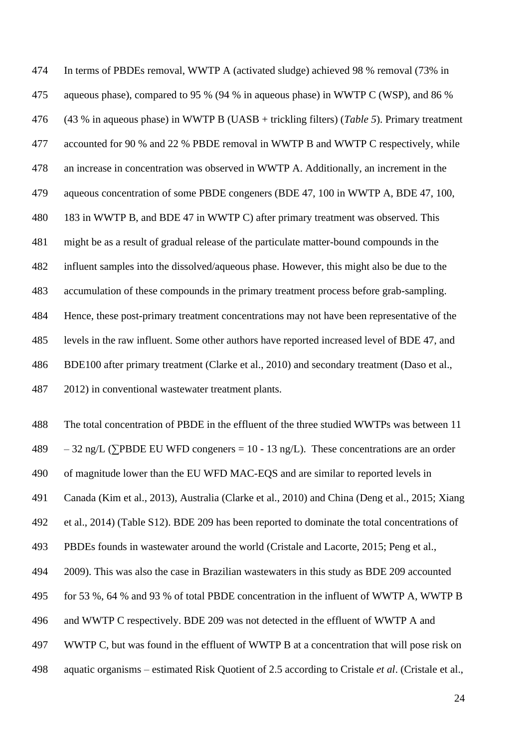In terms of PBDEs removal, WWTP A (activated sludge) achieved 98 % removal (73% in aqueous phase), compared to 95 % (94 % in aqueous phase) in WWTP C (WSP), and 86 % (43 % in aqueous phase) in WWTP B (UASB + trickling filters) (*[Table 5](#page-22-0)*). Primary treatment accounted for 90 % and 22 % PBDE removal in WWTP B and WWTP C respectively, while an increase in concentration was observed in WWTP A. Additionally, an increment in the aqueous concentration of some PBDE congeners (BDE 47, 100 in WWTP A, BDE 47, 100, 183 in WWTP B, and BDE 47 in WWTP C) after primary treatment was observed. This might be as a result of gradual release of the particulate matter-bound compounds in the influent samples into the dissolved/aqueous phase. However, this might also be due to the accumulation of these compounds in the primary treatment process before grab-sampling. Hence, these post-primary treatment concentrations may not have been representative of the levels in the raw influent. Some other authors have reported increased level of BDE 47, and BDE100 after primary treatment [\(Clarke et al., 2010\)](#page-28-8) and secondary treatment [\(Daso et al.,](#page-28-9)  [2012\)](#page-28-9) in conventional wastewater treatment plants.

 The total concentration of PBDE in the effluent of the three studied WWTPs was between 11 489 – 32 ng/L ( $\Sigma$ PBDE EU WFD congeners = 10 - 13 ng/L). These concentrations are an order of magnitude lower than the EU WFD MAC-EQS and are similar to reported levels in Canada [\(Kim et al., 2013\)](#page-29-9), Australia [\(Clarke et al., 2010\)](#page-28-8) and China [\(Deng et al., 2015;](#page-29-10) [Xiang](#page-32-7)  [et al., 2014\)](#page-32-7) (Table S12). BDE 209 has been reported to dominate the total concentrations of PBDEs founds in wastewater around the world [\(Cristale and Lacorte, 2015;](#page-28-10) [Peng et al.,](#page-31-10)  [2009\)](#page-31-10). This was also the case in Brazilian wastewaters in this study as BDE 209 accounted for 53 %, 64 % and 93 % of total PBDE concentration in the influent of WWTP A, WWTP B and WWTP C respectively. BDE 209 was not detected in the effluent of WWTP A and WWTP C, but was found in the effluent of WWTP B at a concentration that will pose risk on aquatic organisms – estimated Risk Quotient of 2.5 according to Cristale *et al*. [\(Cristale et al.,](#page-28-1)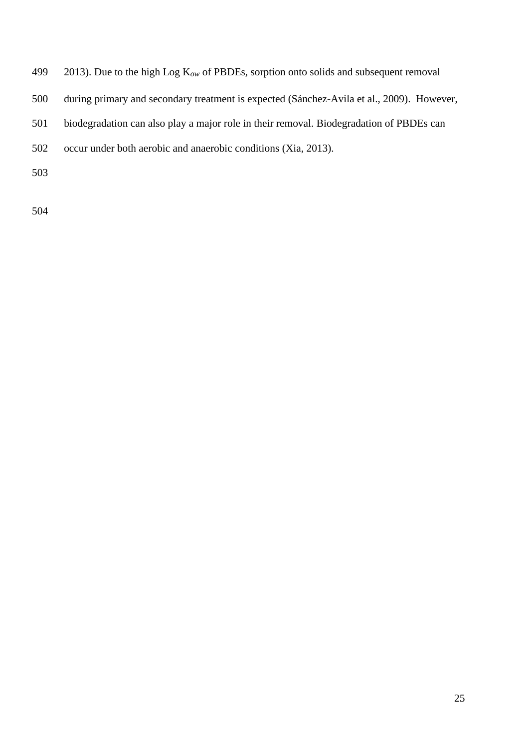| 499 |  | 2013). Due to the high Log $K_{ow}$ of PBDEs, sorption onto solids and subsequent removal |  |
|-----|--|-------------------------------------------------------------------------------------------|--|
|     |  |                                                                                           |  |

- during primary and secondary treatment is expected [\(Sánchez-Avila et al., 2009\)](#page-31-2). However,
- biodegradation can also play a major role in their removal. Biodegradation of PBDEs can
- occur under both aerobic and anaerobic conditions [\(Xia, 2013\)](#page-32-8).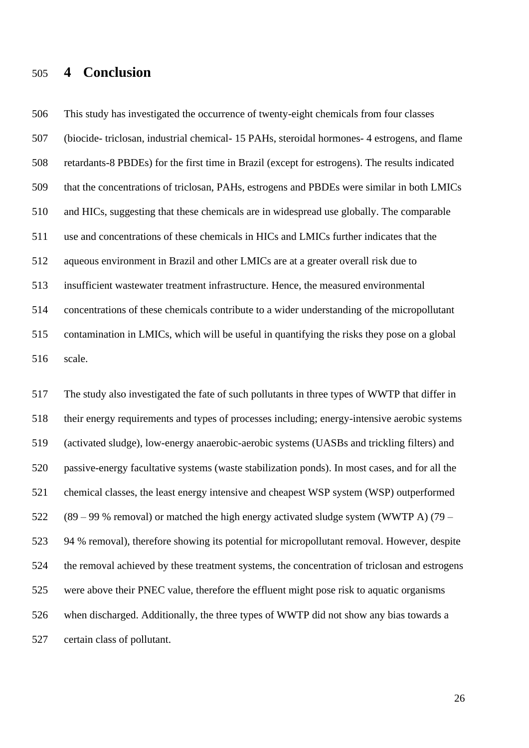# **4 Conclusion**

 This study has investigated the occurrence of twenty-eight chemicals from four classes (biocide- triclosan, industrial chemical- 15 PAHs, steroidal hormones- 4 estrogens, and flame retardants-8 PBDEs) for the first time in Brazil (except for estrogens). The results indicated that the concentrations of triclosan, PAHs, estrogens and PBDEs were similar in both LMICs and HICs, suggesting that these chemicals are in widespread use globally. The comparable use and concentrations of these chemicals in HICs and LMICs further indicates that the aqueous environment in Brazil and other LMICs are at a greater overall risk due to insufficient wastewater treatment infrastructure. Hence, the measured environmental concentrations of these chemicals contribute to a wider understanding of the micropollutant contamination in LMICs, which will be useful in quantifying the risks they pose on a global scale.

 The study also investigated the fate of such pollutants in three types of WWTP that differ in their energy requirements and types of processes including; energy-intensive aerobic systems (activated sludge), low-energy anaerobic-aerobic systems (UASBs and trickling filters) and passive-energy facultative systems (waste stabilization ponds). In most cases, and for all the chemical classes, the least energy intensive and cheapest WSP system (WSP) outperformed (89 – 99 % removal) or matched the high energy activated sludge system (WWTP A) (79 – 94 % removal), therefore showing its potential for micropollutant removal. However, despite the removal achieved by these treatment systems, the concentration of triclosan and estrogens were above their PNEC value, therefore the effluent might pose risk to aquatic organisms when discharged. Additionally, the three types of WWTP did not show any bias towards a certain class of pollutant.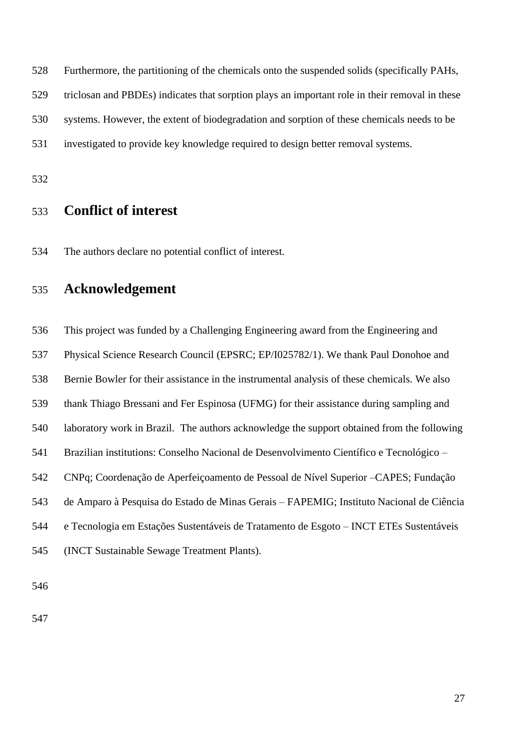Furthermore, the partitioning of the chemicals onto the suspended solids (specifically PAHs,

triclosan and PBDEs) indicates that sorption plays an important role in their removal in these

systems. However, the extent of biodegradation and sorption of these chemicals needs to be

investigated to provide key knowledge required to design better removal systems.

# **Conflict of interest**

The authors declare no potential conflict of interest.

# **Acknowledgement**

 This project was funded by a Challenging Engineering award from the Engineering and Physical Science Research Council (EPSRC; EP/I025782/1). We thank Paul Donohoe and Bernie Bowler for their assistance in the instrumental analysis of these chemicals. We also thank Thiago Bressani and Fer Espinosa (UFMG) for their assistance during sampling and laboratory work in Brazil. The authors acknowledge the support obtained from the following Brazilian institutions: Conselho Nacional de Desenvolvimento Científico e Tecnológico – CNPq; Coordenação de Aperfeiçoamento de Pessoal de Nível Superior –CAPES; Fundação de Amparo à Pesquisa do Estado de Minas Gerais – FAPEMIG; Instituto Nacional de Ciência e Tecnologia em Estações Sustentáveis de Tratamento de Esgoto – INCT ETEs Sustentáveis (INCT Sustainable Sewage Treatment Plants).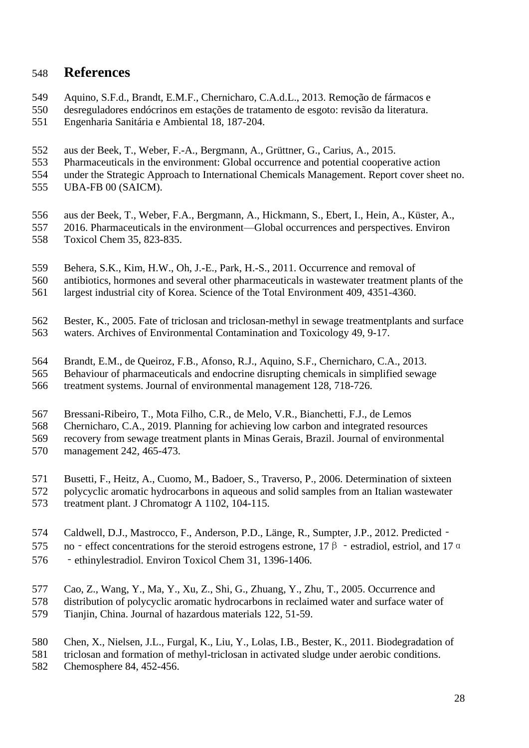# **References**

- <span id="page-27-2"></span>Aquino, S.F.d., Brandt, E.M.F., Chernicharo, C.A.d.L., 2013. Remoção de fármacos e
- desreguladores endócrinos em estações de tratamento de esgoto: revisão da literatura.
- Engenharia Sanitária e Ambiental 18, 187-204.
- <span id="page-27-0"></span>aus der Beek, T., Weber, F.-A., Bergmann, A., Grüttner, G., Carius, A., 2015.
- Pharmaceuticals in the environment: Global occurrence and potential cooperative action
- under the Strategic Approach to International Chemicals Management. Report cover sheet no.
- UBA-FB 00 (SAICM).
- <span id="page-27-1"></span>aus der Beek, T., Weber, F.A., Bergmann, A., Hickmann, S., Ebert, I., Hein, A., Küster, A.,
- 2016. Pharmaceuticals in the environment—Global occurrences and perspectives. Environ Toxicol Chem 35, 823-835.
- <span id="page-27-9"></span>Behera, S.K., Kim, H.W., Oh, J.-E., Park, H.-S., 2011. Occurrence and removal of
- antibiotics, hormones and several other pharmaceuticals in wastewater treatment plants of the
- largest industrial city of Korea. Science of the Total Environment 409, 4351-4360.
- <span id="page-27-5"></span> Bester, K., 2005. Fate of triclosan and triclosan-methyl in sewage treatmentplants and surface waters. Archives of Environmental Contamination and Toxicology 49, 9-17.
- <span id="page-27-8"></span>Brandt, E.M., de Queiroz, F.B., Afonso, R.J., Aquino, S.F., Chernicharo, C.A., 2013.
- Behaviour of pharmaceuticals and endocrine disrupting chemicals in simplified sewage treatment systems. Journal of environmental management 128, 718-726.
- <span id="page-27-3"></span>Bressani-Ribeiro, T., Mota Filho, C.R., de Melo, V.R., Bianchetti, F.J., de Lemos
- Chernicharo, C.A., 2019. Planning for achieving low carbon and integrated resources recovery from sewage treatment plants in Minas Gerais, Brazil. Journal of environmental
- management 242, 465-473.
- <span id="page-27-6"></span>Busetti, F., Heitz, A., Cuomo, M., Badoer, S., Traverso, P., 2006. Determination of sixteen
- polycyclic aromatic hydrocarbons in aqueous and solid samples from an Italian wastewater treatment plant. J Chromatogr A 1102, 104-115.
- 
- <span id="page-27-10"></span>Caldwell, D.J., Mastrocco, F., Anderson, P.D., Länge, R., Sumpter, J.P., 2012. Predicted‐
- 575 no effect concentrations for the steroid estrogens estrone,  $17 \beta$  estradiol, estriol, and  $17 \alpha$
- ‐ethinylestradiol. Environ Toxicol Chem 31, 1396-1406.
- Cao, Z., Wang, Y., Ma, Y., Xu, Z., Shi, G., Zhuang, Y., Zhu, T., 2005. Occurrence and
- <span id="page-27-7"></span>distribution of polycyclic aromatic hydrocarbons in reclaimed water and surface water of
- Tianjin, China. Journal of hazardous materials 122, 51-59.
- <span id="page-27-4"></span>Chen, X., Nielsen, J.L., Furgal, K., Liu, Y., Lolas, I.B., Bester, K., 2011. Biodegradation of
- triclosan and formation of methyl-triclosan in activated sludge under aerobic conditions.
- Chemosphere 84, 452-456.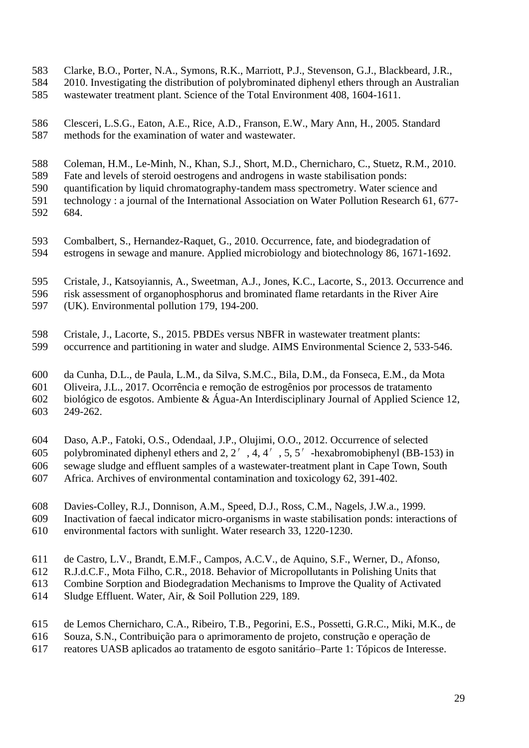- <span id="page-28-8"></span>Clarke, B.O., Porter, N.A., Symons, R.K., Marriott, P.J., Stevenson, G.J., Blackbeard, J.R.,
- 2010. Investigating the distribution of polybrominated diphenyl ethers through an Australian
- wastewater treatment plant. Science of the Total Environment 408, 1604-1611.
- <span id="page-28-4"></span> Clesceri, L.S.G., Eaton, A.E., Rice, A.D., Franson, E.W., Mary Ann, H., 2005. Standard methods for the examination of water and wastewater.
- <span id="page-28-5"></span>Coleman, H.M., Le-Minh, N., Khan, S.J., Short, M.D., Chernicharo, C., Stuetz, R.M., 2010.
- Fate and levels of steroid oestrogens and androgens in waste stabilisation ponds:
- quantification by liquid chromatography-tandem mass spectrometry. Water science and
- technology : a journal of the International Association on Water Pollution Research 61, 677- 684.
- <span id="page-28-0"></span> Combalbert, S., Hernandez-Raquet, G., 2010. Occurrence, fate, and biodegradation of estrogens in sewage and manure. Applied microbiology and biotechnology 86, 1671-1692.
- <span id="page-28-1"></span>Cristale, J., Katsoyiannis, A., Sweetman, A.J., Jones, K.C., Lacorte, S., 2013. Occurrence and
- risk assessment of organophosphorus and brominated flame retardants in the River Aire (UK). Environmental pollution 179, 194-200.
- 
- <span id="page-28-10"></span> Cristale, J., Lacorte, S., 2015. PBDEs versus NBFR in wastewater treatment plants: occurrence and partitioning in water and sludge. AIMS Environmental Science 2, 533-546.
- <span id="page-28-2"></span>da Cunha, D.L., de Paula, L.M., da Silva, S.M.C., Bila, D.M., da Fonseca, E.M., da Mota
- Oliveira, J.L., 2017. Ocorrência e remoção de estrogênios por processos de tratamento
- biológico de esgotos. Ambiente & Água-An Interdisciplinary Journal of Applied Science 12, 249-262.
- <span id="page-28-9"></span>Daso, A.P., Fatoki, O.S., Odendaal, J.P., Olujimi, O.O., 2012. Occurrence of selected
- polybrominated diphenyl ethers and 2, 2′, 4, 4′, 5, 5′-hexabromobiphenyl (BB-153) in sewage sludge and effluent samples of a wastewater-treatment plant in Cape Town, South
- Africa. Archives of environmental contamination and toxicology 62, 391-402.
- <span id="page-28-7"></span>Davies-Colley, R.J., Donnison, A.M., Speed, D.J., Ross, C.M., Nagels, J.W.a., 1999.
- Inactivation of faecal indicator micro-organisms in waste stabilisation ponds: interactions of
- environmental factors with sunlight. Water research 33, 1220-1230.
- <span id="page-28-6"></span>de Castro, L.V., Brandt, E.M.F., Campos, A.C.V., de Aquino, S.F., Werner, D., Afonso,
- R.J.d.C.F., Mota Filho, C.R., 2018. Behavior of Micropollutants in Polishing Units that
- Combine Sorption and Biodegradation Mechanisms to Improve the Quality of Activated
- Sludge Effluent. Water, Air, & Soil Pollution 229, 189.
- <span id="page-28-3"></span>de Lemos Chernicharo, C.A., Ribeiro, T.B., Pegorini, E.S., Possetti, G.R.C., Miki, M.K., de
- Souza, S.N., Contribuição para o aprimoramento de projeto, construção e operação de
- reatores UASB aplicados ao tratamento de esgoto sanitário–Parte 1: Tópicos de Interesse.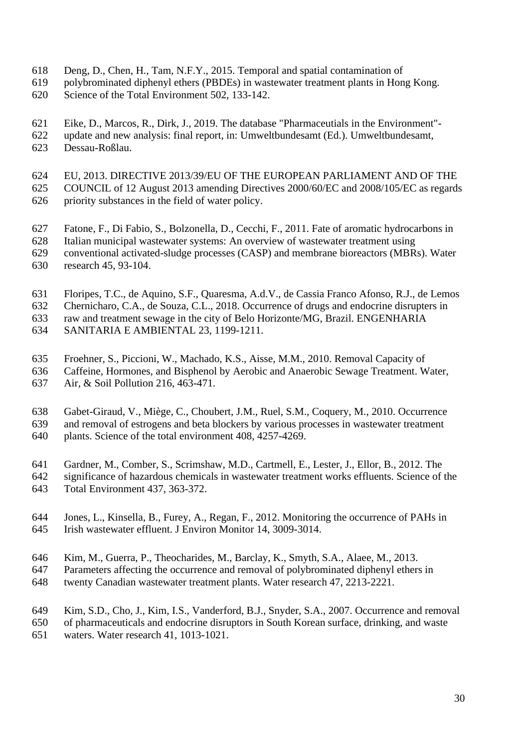- <span id="page-29-10"></span>Deng, D., Chen, H., Tam, N.F.Y., 2015. Temporal and spatial contamination of
- polybrominated diphenyl ethers (PBDEs) in wastewater treatment plants in Hong Kong.
- Science of the Total Environment 502, 133-142.
- <span id="page-29-0"></span>Eike, D., Marcos, R., Dirk, J., 2019. The database "Pharmaceutials in the Environment"-
- update and new analysis: final report, in: Umweltbundesamt (Ed.). Umweltbundesamt, Dessau-Roßlau.
- <span id="page-29-2"></span>EU, 2013. DIRECTIVE 2013/39/EU OF THE EUROPEAN PARLIAMENT AND OF THE
- COUNCIL of 12 August 2013 amending Directives 2000/60/EC and 2008/105/EC as regards
- priority substances in the field of water policy.
- <span id="page-29-5"></span>Fatone, F., Di Fabio, S., Bolzonella, D., Cecchi, F., 2011. Fate of aromatic hydrocarbons in
- Italian municipal wastewater systems: An overview of wastewater treatment using
- conventional activated-sludge processes (CASP) and membrane bioreactors (MBRs). Water
- research 45, 93-104.
- <span id="page-29-8"></span>Floripes, T.C., de Aquino, S.F., Quaresma, A.d.V., de Cassia Franco Afonso, R.J., de Lemos
- Chernicharo, C.A., de Souza, C.L., 2018. Occurrence of drugs and endocrine disrupters in
- raw and treatment sewage in the city of Belo Horizonte/MG, Brazil. ENGENHARIA
- SANITARIA E AMBIENTAL 23, 1199-1211.
- <span id="page-29-3"></span>Froehner, S., Piccioni, W., Machado, K.S., Aisse, M.M., 2010. Removal Capacity of
- Caffeine, Hormones, and Bisphenol by Aerobic and Anaerobic Sewage Treatment. Water,
- Air, & Soil Pollution 216, 463-471.
- <span id="page-29-7"></span> Gabet-Giraud, V., Miège, C., Choubert, J.M., Ruel, S.M., Coquery, M., 2010. Occurrence and removal of estrogens and beta blockers by various processes in wastewater treatment
- plants. Science of the total environment 408, 4257-4269.
- <span id="page-29-4"></span>Gardner, M., Comber, S., Scrimshaw, M.D., Cartmell, E., Lester, J., Ellor, B., 2012. The
- significance of hazardous chemicals in wastewater treatment works effluents. Science of the
- Total Environment 437, 363-372.
- <span id="page-29-1"></span> Jones, L., Kinsella, B., Furey, A., Regan, F., 2012. Monitoring the occurrence of PAHs in Irish wastewater effluent. J Environ Monitor 14, 3009-3014.
- <span id="page-29-9"></span>Kim, M., Guerra, P., Theocharides, M., Barclay, K., Smyth, S.A., Alaee, M., 2013.
- Parameters affecting the occurrence and removal of polybrominated diphenyl ethers in
- twenty Canadian wastewater treatment plants. Water research 47, 2213-2221.
- <span id="page-29-6"></span>Kim, S.D., Cho, J., Kim, I.S., Vanderford, B.J., Snyder, S.A., 2007. Occurrence and removal
- of pharmaceuticals and endocrine disruptors in South Korean surface, drinking, and waste
- waters. Water research 41, 1013-1021.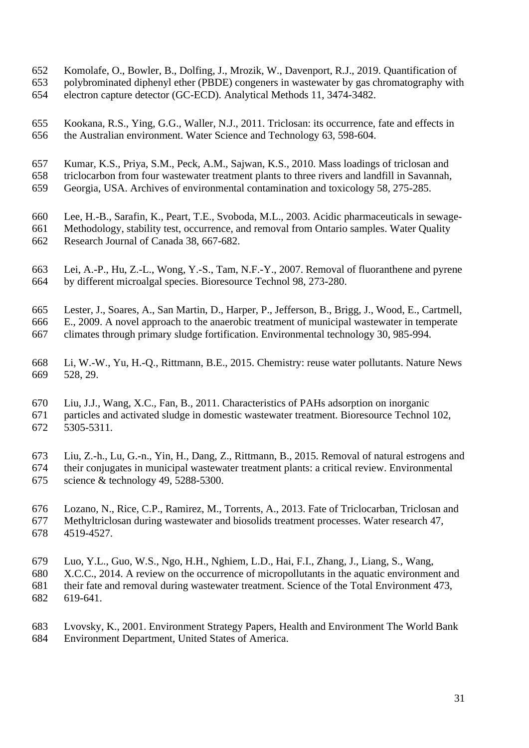- <span id="page-30-4"></span>Komolafe, O., Bowler, B., Dolfing, J., Mrozik, W., Davenport, R.J., 2019. Quantification of
- polybrominated diphenyl ether (PBDE) congeners in wastewater by gas chromatography with
- electron capture detector (GC-ECD). Analytical Methods 11, 3474-3482.
- <span id="page-30-8"></span> Kookana, R.S., Ying, G.G., Waller, N.J., 2011. Triclosan: its occurrence, fate and effects in the Australian environment. Water Science and Technology 63, 598-604.
- <span id="page-30-5"></span>Kumar, K.S., Priya, S.M., Peck, A.M., Sajwan, K.S., 2010. Mass loadings of triclosan and
- triclocarbon from four wastewater treatment plants to three rivers and landfill in Savannah,
- Georgia, USA. Archives of environmental contamination and toxicology 58, 275-285.
- <span id="page-30-7"></span>Lee, H.-B., Sarafin, K., Peart, T.E., Svoboda, M.L., 2003. Acidic pharmaceuticals in sewage-
- Methodology, stability test, occurrence, and removal from Ontario samples. Water Quality Research Journal of Canada 38, 667-682.
- <span id="page-30-9"></span> Lei, A.-P., Hu, Z.-L., Wong, Y.-S., Tam, N.F.-Y., 2007. Removal of fluoranthene and pyrene by different microalgal species. Bioresource Technol 98, 273-280.
- <span id="page-30-2"></span>Lester, J., Soares, A., San Martin, D., Harper, P., Jefferson, B., Brigg, J., Wood, E., Cartmell,
- E., 2009. A novel approach to the anaerobic treatment of municipal wastewater in temperate climates through primary sludge fortification. Environmental technology 30, 985-994.
- 
- <span id="page-30-3"></span> Li, W.-W., Yu, H.-Q., Rittmann, B.E., 2015. Chemistry: reuse water pollutants. Nature News 528, 29.
- <span id="page-30-10"></span>Liu, J.J., Wang, X.C., Fan, B., 2011. Characteristics of PAHs adsorption on inorganic
- particles and activated sludge in domestic wastewater treatment. Bioresource Technol 102, 5305-5311.
- <span id="page-30-11"></span> Liu, Z.-h., Lu, G.-n., Yin, H., Dang, Z., Rittmann, B., 2015. Removal of natural estrogens and their conjugates in municipal wastewater treatment plants: a critical review. Environmental science & technology 49, 5288-5300.
- <span id="page-30-6"></span> Lozano, N., Rice, C.P., Ramirez, M., Torrents, A., 2013. Fate of Triclocarban, Triclosan and Methyltriclosan during wastewater and biosolids treatment processes. Water research 47, 4519-4527.
- <span id="page-30-0"></span>Luo, Y.L., Guo, W.S., Ngo, H.H., Nghiem, L.D., Hai, F.I., Zhang, J., Liang, S., Wang,
- X.C.C., 2014. A review on the occurrence of micropollutants in the aquatic environment and
- their fate and removal during wastewater treatment. Science of the Total Environment 473, 619-641.
- <span id="page-30-1"></span> Lvovsky, K., 2001. Environment Strategy Papers, Health and Environment The World Bank Environment Department, United States of America.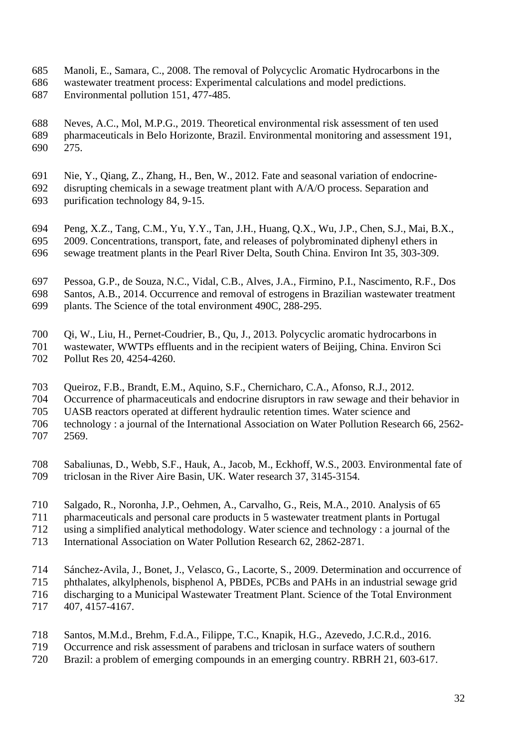- <span id="page-31-5"></span>Manoli, E., Samara, C., 2008. The removal of Polycyclic Aromatic Hydrocarbons in the
- wastewater treatment process: Experimental calculations and model predictions. Environmental pollution 151, 477-485.
- <span id="page-31-3"></span> Neves, A.C., Mol, M.P.G., 2019. Theoretical environmental risk assessment of ten used pharmaceuticals in Belo Horizonte, Brazil. Environmental monitoring and assessment 191, 275.
- <span id="page-31-9"></span>Nie, Y., Qiang, Z., Zhang, H., Ben, W., 2012. Fate and seasonal variation of endocrine-
- disrupting chemicals in a sewage treatment plant with A/A/O process. Separation and purification technology 84, 9-15.
- 
- <span id="page-31-10"></span> Peng, X.Z., Tang, C.M., Yu, Y.Y., Tan, J.H., Huang, Q.X., Wu, J.P., Chen, S.J., Mai, B.X., 2009. Concentrations, transport, fate, and releases of polybrominated diphenyl ethers in sewage treatment plants in the Pearl River Delta, South China. Environ Int 35, 303-309.
- <span id="page-31-0"></span>Pessoa, G.P., de Souza, N.C., Vidal, C.B., Alves, J.A., Firmino, P.I., Nascimento, R.F., Dos
- Santos, A.B., 2014. Occurrence and removal of estrogens in Brazilian wastewater treatment
- plants. The Science of the total environment 490C, 288-295.
- <span id="page-31-6"></span>Qi, W., Liu, H., Pernet-Coudrier, B., Qu, J., 2013. Polycyclic aromatic hydrocarbons in
- wastewater, WWTPs effluents and in the recipient waters of Beijing, China. Environ Sci Pollut Res 20, 4254-4260.
- <span id="page-31-7"></span>Queiroz, F.B., Brandt, E.M., Aquino, S.F., Chernicharo, C.A., Afonso, R.J., 2012.
- Occurrence of pharmaceuticals and endocrine disruptors in raw sewage and their behavior in
- UASB reactors operated at different hydraulic retention times. Water science and
- technology : a journal of the International Association on Water Pollution Research 66, 2562- 2569.
- <span id="page-31-4"></span> Sabaliunas, D., Webb, S.F., Hauk, A., Jacob, M., Eckhoff, W.S., 2003. Environmental fate of triclosan in the River Aire Basin, UK. Water research 37, 3145-3154.
- <span id="page-31-8"></span>Salgado, R., Noronha, J.P., Oehmen, A., Carvalho, G., Reis, M.A., 2010. Analysis of 65
- pharmaceuticals and personal care products in 5 wastewater treatment plants in Portugal
- using a simplified analytical methodology. Water science and technology : a journal of the
- International Association on Water Pollution Research 62, 2862-2871.
- <span id="page-31-2"></span>Sánchez-Avila, J., Bonet, J., Velasco, G., Lacorte, S., 2009. Determination and occurrence of
- phthalates, alkylphenols, bisphenol A, PBDEs, PCBs and PAHs in an industrial sewage grid discharging to a Municipal Wastewater Treatment Plant. Science of the Total Environment
- 407, 4157-4167.
- <span id="page-31-1"></span>Santos, M.M.d., Brehm, F.d.A., Filippe, T.C., Knapik, H.G., Azevedo, J.C.R.d., 2016.
- Occurrence and risk assessment of parabens and triclosan in surface waters of southern
- Brazil: a problem of emerging compounds in an emerging country. RBRH 21, 603-617.